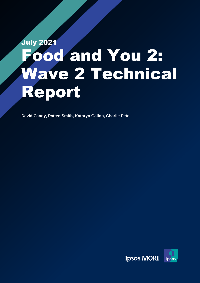# July 2021 ood and You 2: Wave 2 Technical Report

**David Candy, Patten Smith, Kathryn Gallop, Charlie Peto**

Ipsos MORI | Food and You 2: Wave 2 Technical Report

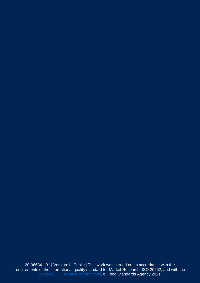20-066341-01 | Version 1 | Public | This work was carried out in accordance with the requirements of the international quality standard for Market Research, ISO 20252, and with the **[Ipsos MORI Terms and Conditions.](http://www.ipsos-mori.com/terms) © Food Standards Agency 2021**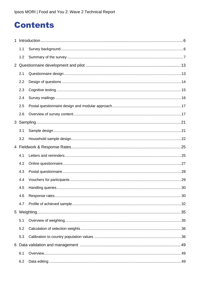### **Contents**

| $\mathbf{1}$ |     |    |
|--------------|-----|----|
|              | 1.1 |    |
|              | 1.2 |    |
|              |     |    |
|              | 2.1 |    |
|              | 2.2 |    |
|              | 2.3 |    |
|              | 2.4 |    |
|              | 2.5 |    |
|              | 2.6 |    |
|              |     |    |
|              | 3.1 |    |
|              | 3.2 |    |
|              |     |    |
|              |     |    |
|              | 4.1 |    |
|              | 4.2 |    |
|              | 4.3 |    |
|              | 4.4 |    |
|              | 4.5 | 30 |
|              | 4.6 |    |
|              | 4.7 |    |
|              |     |    |
|              | 5.1 |    |
|              | 5.2 |    |
|              | 5.3 |    |
|              |     |    |
|              | 6.1 |    |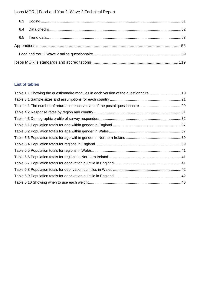#### **List of tables**

| Table 1.1 Showing the questionnaire modules in each version of the questionnaire10 |  |
|------------------------------------------------------------------------------------|--|
|                                                                                    |  |
| Table 4.1 The number of returns for each version of the postal questionnaire29     |  |
|                                                                                    |  |
|                                                                                    |  |
|                                                                                    |  |
|                                                                                    |  |
|                                                                                    |  |
|                                                                                    |  |
|                                                                                    |  |
|                                                                                    |  |
|                                                                                    |  |
|                                                                                    |  |
|                                                                                    |  |
|                                                                                    |  |
|                                                                                    |  |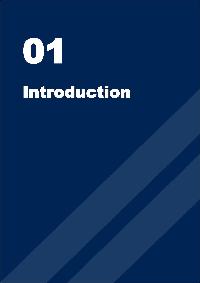# 01 Introduction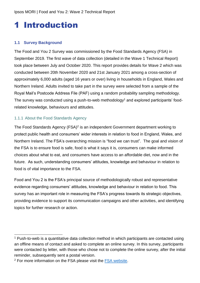## <span id="page-5-0"></span>1 Introduction

#### <span id="page-5-1"></span>**1.1 Survey Background**

The Food and You 2 Survey was commissioned by the Food Standards Agency (FSA) in September 2019. The first wave of data collection (detailed in the Wave 1 Technical Report) took place between July and October 2020. This report provides details for Wave 2 which was conducted between 20th November 2020 and 21st January 2021 among a cross-section of approximately 6,000 adults (aged 16 years or over) living in households in England, Wales and Northern Ireland. Adults invited to take part in the survey were selected from a sample of the Royal Mail's Postcode Address File (PAF) using a random probability sampling methodology. The survey was conducted using a push-to-web methodology<sup>1</sup> and explored participants' foodrelated knowledge, behaviours and attitudes.

#### 1.1.1 About the Food Standards Agency

The Food Standards Agency (FSA)<sup>2</sup> is an independent Government department working to protect public health and consumers' wider interests in relation to food in England, Wales, and Northern Ireland. The FSA's overarching mission is "food we can trust". The goal and vision of the FSA is to ensure food is safe, food is what it says it is, consumers can make informed choices about what to eat, and consumers have access to an affordable diet, now and in the future. As such, understanding consumers' attitudes, knowledge and behaviour in relation to food is of vital importance to the FSA.

Food and You 2 is the FSA's principal source of methodologically robust and representative evidence regarding consumers' attitudes, knowledge and behaviour in relation to food. This survey has an important role in measuring the FSA's progress towards its strategic objectives, providing evidence to support its communication campaigns and other activities, and identifying topics for further research or action.

<sup>1</sup> Push-to-web is a quantitative data collection method in which participants are contacted using an offline means of contact and asked to complete an online survey. In this survey, participants were contacted by letter, with those who chose not to complete the online survey, after the initial reminder, subsequently sent a postal version.

<sup>&</sup>lt;sup>2</sup> For more information on the FSA please visit the [FSA website.](https://www.food.gov.uk/)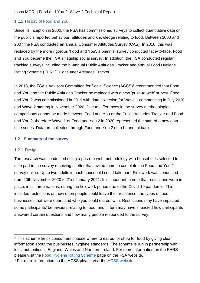#### 1.1.2 History of Food and You

Since its inception in 2000, the FSA has commissioned surveys to collect quantitative data on the public's reported behaviour, attitudes and knowledge relating to food. Between 2000 and 2007 the FSA conducted an annual Consumer Attitudes Survey (CAS). In 2010, this was replaced by the more rigorous 'Food and You', a biennial survey conducted face-to-face. Food and You became the FSA's flagship social survey. In addition, the FSA conducted regular tracking surveys including the bi-annual Public Attitudes Tracker and annual Food Hygiene Rating Scheme (FHRS)<sup>3</sup> Consumer Attitudes Tracker.

In 2018, the FSA's Advisory Committee for Social Science (ACSS)<sup>4</sup> recommended that Food and You and the Public Attitudes Tracker be replaced with a new 'push-to-web' survey. Food and You 2 was commissioned in 2019 with data collection for Wave 1 commencing in July 2020 and Wave 2 starting in November 2020. Due to differences in the survey methodologies, comparisons cannot be made between Food and You or the Public Attitudes Tracker and Food and You 2, therefore Wave 1 of Food and You 2 in 2020 represented the start of a new data time series. Data are collected through Food and You 2 on a bi-annual basis.

#### <span id="page-6-0"></span>**1.2 Summary of the survey**

#### 1.2.1 Design

The research was conducted using a push-to-web methodology with households selected to take part in the survey receiving a letter that invited them to complete the Food and You 2 survey online. Up to two adults in each household could take part. Fieldwork was conducted from 20th November 2020 to 21st January 2021. It is important to note that restrictions were in place, in all three nations, during the fieldwork period due to the Covid-19 pandemic. This included restrictions on how often people could leave their residence, the types of food businesses that were open, and who you could eat out with. Restrictions may have impacted some participants' behaviours relating to food, and in turn may have impacted how participants answered certain questions and how many people responded to the survey.

<sup>&</sup>lt;sup>3</sup> This scheme helps consumers choose where to eat out or shop for food by giving clear information about the businesses' hygiene standards. The scheme is run in partnership with local authorities in England, Wales and Northern Ireland. For more information on the FHRS please visit the [Food Hygiene Rating Scheme](file://///ipsosgroup.ipsos.com/dfs/EMEA/United%20Kingdom/File/LON_Files_SRI_PublicAffairs/GOVT_CEN/19-070869-01%20Food%20&%20You%20W6/6.%20Reporting/Food%20Hygiene%20Rating%20Scheme) page on the FSA website.

<sup>4</sup> For more information on the ACSS please visit the [ACSS website.](https://acss.food.gov.uk/)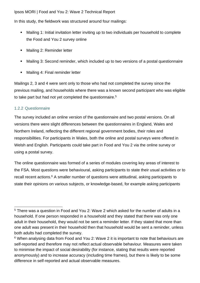In this study, the fieldwork was structured around four mailings:

- Mailing 1: Initial invitation letter inviting up to two individuals per household to complete the Food and You 2 survey online
- Mailing 2: Reminder letter
- Mailing 3: Second reminder, which included up to two versions of a postal questionnaire
- Mailing 4: Final reminder letter

Mailings 2, 3 and 4 were sent only to those who had not completed the survey since the previous mailing, and households where there was a known second participant who was eligible to take part but had not yet completed the questionnaire.<sup>5</sup>

#### 1.2.2 Questionnaire

The survey included an online version of the questionnaire and two postal versions. On all versions there were slight differences between the questionnaires in England, Wales and Northern Ireland, reflecting the different regional government bodies, their roles and responsibilities. For participants in Wales, both the online and postal surveys were offered in Welsh and English. Participants could take part in Food and You 2 via the online survey or using a postal survey.

The online questionnaire was formed of a series of modules covering key areas of interest to the FSA. Most questions were behavioural, asking participants to state their usual activities or to recall recent actions.<sup>6</sup> A smaller number of questions were attitudinal, asking participants to state their opinions on various subjects, or knowledge-based, for example asking participants

<sup>5</sup> There was a question in Food and You 2: Wave 2 which asked for the number of adults in a household. If one person responded in a household and they stated that there was only one adult in their household, they would not be sent a reminder letter. If they stated that more than one adult was present in their household then that household would be sent a reminder, unless both adults had completed the survey.

<sup>&</sup>lt;sup>6</sup> When analysing data from Food and You 2: Wave 2 it is important to note that behaviours are self-reported and therefore may not reflect actual observable behaviour. Measures were taken to minimise the impact of social desirability (for instance, stating that results were reported anonymously) and to increase accuracy (including time frames), but there is likely to be some difference in self-reported and actual observable measures.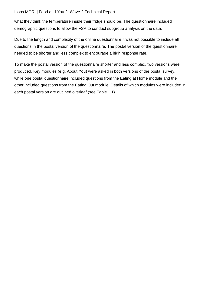what they think the temperature inside their fridge should be. The questionnaire included demographic questions to allow the FSA to conduct subgroup analysis on the data.

Due to the length and complexity of the online questionnaire it was not possible to include all questions in the postal version of the questionnaire. The postal version of the questionnaire needed to be shorter and less complex to encourage a high response rate.

To make the postal version of the questionnaire shorter and less complex, two versions were produced. Key modules (e.g. About You) were asked in both versions of the postal survey, while one postal questionnaire included questions from the Eating at Home module and the other included questions from the Eating Out module. Details of which modules were included in each postal version are outlined overleaf (see Table 1.1).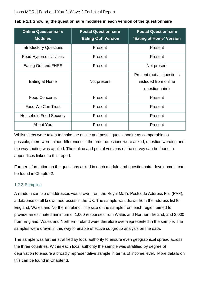| <b>Online Questionnaire</b><br><b>Modules</b> | <b>Postal Questionnaire</b><br>'Eating Out' Version | <b>Postal Questionnaire</b><br>'Eating at Home' Version              |
|-----------------------------------------------|-----------------------------------------------------|----------------------------------------------------------------------|
| <b>Introductory Questions</b>                 | Present                                             | Present                                                              |
| <b>Food Hypersensitivities</b>                | Present                                             | Present                                                              |
| Eating Out and FHRS                           | Present                                             | Not present                                                          |
| Eating at Home                                | Not present                                         | Present (not all questions<br>included from online<br>questionnaire) |
| <b>Food Concerns</b>                          | Present                                             | Present                                                              |
| Food We Can Trust                             | Present                                             | Present                                                              |
| <b>Household Food Security</b>                | Present                                             | Present                                                              |
| <b>About You</b>                              | Present                                             | Present                                                              |

<span id="page-9-0"></span>

|  | Table 1.1 Showing the questionnaire modules in each version of the questionnaire |  |  |
|--|----------------------------------------------------------------------------------|--|--|
|--|----------------------------------------------------------------------------------|--|--|

Whilst steps were taken to make the online and postal questionnaire as comparable as possible, there were minor differences in the order questions were asked, question wording and the way routing was applied. The online and postal versions of the survey can be found in appendices linked to this report.

Further information on the questions asked in each module and questionnaire development can be found in Chapter 2.

#### 1.2.3 Sampling

A random sample of addresses was drawn from the Royal Mail's Postcode Address File (PAF), a database of all known addresses in the UK. The sample was drawn from the address list for England, Wales and Northern Ireland. The size of the sample from each region aimed to provide an estimated minimum of 1,000 responses from Wales and Northern Ireland, and 2,000 from England. Wales and Northern Ireland were therefore over-represented in the sample. The samples were drawn in this way to enable effective subgroup analysis on the data.

The sample was further stratified by local authority to ensure even geographical spread across the three countries. Within each local authority the sample was stratified by degree of deprivation to ensure a broadly representative sample in terms of income level. More details on this can be found in Chapter 3.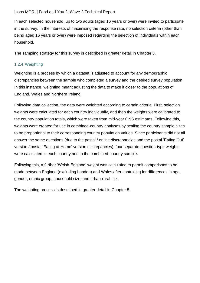In each selected household, up to two adults (aged 16 years or over) were invited to participate in the survey. In the interests of maximising the response rate, no selection criteria (other than being aged 16 years or over) were imposed regarding the selection of individuals within each household.

The sampling strategy for this survey is described in greater detail in Chapter 3.

#### 1.2.4 Weighting

Weighting is a process by which a dataset is adjusted to account for any demographic discrepancies between the sample who completed a survey and the desired survey population. In this instance, weighting meant adjusting the data to make it closer to the populations of England, Wales and Northern Ireland.

Following data collection, the data were weighted according to certain criteria. First, selection weights were calculated for each country individually, and then the weights were calibrated to the country population totals, which were taken from mid-year ONS estimates. Following this, weights were created for use in combined-country analyses by scaling the country sample sizes to be proportional to their corresponding country population values. Since participants did not all answer the same questions (due to the postal / online discrepancies and the postal 'Eating Out' version / postal 'Eating at Home' version discrepancies), four separate question-type weights were calculated in each country and in the combined-country sample.

Following this, a further 'Welsh-England' weight was calculated to permit comparisons to be made between England (excluding London) and Wales after controlling for differences in age, gender, ethnic group, household size, and urban-rural mix.

The weighting process is described in greater detail in Chapter 5.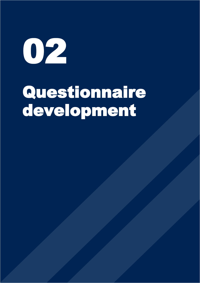$O2$ 

# Questionnaire development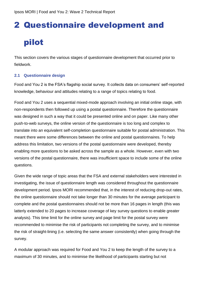## <span id="page-12-0"></span>2 Questionnaire development and

## pilot

This section covers the various stages of questionnaire development that occurred prior to fieldwork.

#### <span id="page-12-1"></span>**2.1 Questionnaire design**

Food and You 2 is the FSA's flagship social survey. It collects data on consumers' self-reported knowledge, behaviour and attitudes relating to a range of topics relating to food.

Food and You 2 uses a sequential mixed-mode approach involving an initial online stage, with non-respondents then followed up using a postal questionnaire. Therefore the questionnaire was designed in such a way that it could be presented online and on paper. Like many other push-to-web surveys, the online version of the questionnaire is too long and complex to translate into an equivalent self-completion questionnaire suitable for postal administration. This meant there were some differences between the online and postal questionnaires. To help address this limitation, two versions of the postal questionnaire were developed, thereby enabling more questions to be asked across the sample as a whole. However, even with two versions of the postal questionnaire, there was insufficient space to include some of the online questions.

Given the wide range of topic areas that the FSA and external stakeholders were interested in investigating, the issue of questionnaire length was considered throughout the questionnaire development period. Ipsos MORI recommended that, in the interest of reducing drop-out rates, the online questionnaire should not take longer than 30 minutes for the average participant to complete and the postal questionnaires should not be more than 16 pages in length (this was latterly extended to 20 pages to increase coverage of key survey questions to enable greater analysis). This time limit for the online survey and page limit for the postal survey were recommended to minimise the risk of participants not completing the survey, and to minimise the risk of straight-lining (i.e. selecting the same answer consistently) when going through the survey.

A modular approach was required for Food and You 2 to keep the length of the survey to a maximum of 30 minutes, and to minimise the likelihood of participants starting but not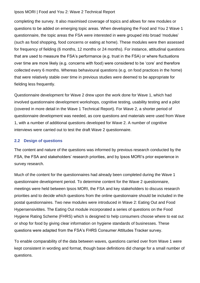completing the survey. It also maximised coverage of topics and allows for new modules or questions to be added on emerging topic areas. When developing the Food and You 2 Wave 1 questionnaire, the topic areas the FSA were interested in were grouped into broad 'modules' (such as food shopping, food concerns or eating at home). These modules were then assessed for frequency of fielding (6 months, 12 months or 24 months). For instance, attitudinal questions that are used to measure the FSA's performance (e.g. trust in the FSA) or where fluctuations over time are more likely (e.g. concerns with food) were considered to be 'core' and therefore collected every 6 months. Whereas behavioural questions (e.g. on food practices in the home) that were relatively stable over time in previous studies were deemed to be appropriate for fielding less frequently.

Questionnaire development for Wave 2 drew upon the work done for Wave 1, which had involved questionnaire development workshops, cognitive testing, usability testing and a pilot (covered in more detail in the Wave 1 Technical Report). For Wave 2, a shorter period of questionnaire development was needed, as core questions and materials were used from Wave 1, with a number of additional questions developed for Wave 2. A number of cognitive interviews were carried out to test the draft Wave 2 questionnaire.

#### <span id="page-13-0"></span>**2.2 Design of questions**

The content and nature of the questions was informed by previous research conducted by the FSA, the FSA and stakeholders' research priorities, and by Ipsos MORI's prior experience in survey research.

Much of the content for the questionnaires had already been completed during the Wave 1 questionnaire development period. To determine content for the Wave 2 questionnaire, meetings were held between Ipsos MORI, the FSA and key stakeholders to discuss research priorities and to decide which questions from the online questionnaire should be included in the postal questionnaires. Two new modules were introduced in Wave 2: Eating Out and Food Hypersensivitites. The Eating Out module incorporated a series of questions on the Food Hygiene Rating Scheme (FHRS) which is designed to help consumers choose where to eat out or shop for food by giving clear information on hygiene standards of businesses. These questions were adapted from the FSA's FHRS Consumer Attitudes Tracker survey.

To enable comparability of the data between waves, questions carried over from Wave 1 were kept consistent in wording and format, though base definitions did change for a small number of questions.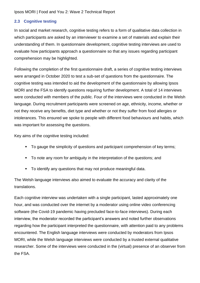#### <span id="page-14-0"></span>**2.3 Cognitive testing**

In social and market research, cognitive testing refers to a form of qualitative data collection in which participants are asked by an interviewer to examine a set of materials and explain their understanding of them. In questionnaire development, cognitive testing interviews are used to evaluate how participants approach a questionnaire so that any issues regarding participant comprehension may be highlighted.

Following the completion of the first questionnaire draft, a series of cognitive testing interviews were arranged in October 2020 to test a sub-set of questions from the questionnaire. The cognitive testing was intended to aid the development of the questionnaire by allowing Ipsos MORI and the FSA to identify questions requiring further development. A total of 14 interviews were conducted with members of the public. Four of the interviews were conducted in the Welsh language. During recruitment participants were screened on age, ethnicity, income, whether or not they receive any benefits, diet type and whether or not they suffer from food allergies or intolerances. This ensured we spoke to people with different food behaviours and habits, which was important for assessing the questions.

Key aims of the cognitive testing included:

- To gauge the simplicity of questions and participant comprehension of key terms;
- **•** To note any room for ambiguity in the interpretation of the questions; and
- To identify any questions that may not produce meaningful data.

The Welsh language interviews also aimed to evaluate the accuracy and clarity of the translations.

Each cognitive interview was undertaken with a single participant, lasted approximately one hour, and was conducted over the internet by a moderator using online video conferencing software (the Covid-19 pandemic having precluded face-to-face interviews). During each interview, the moderator recorded the participant's answers and noted further observations regarding how the participant interpreted the questionnaire, with attention paid to any problems encountered. The English language interviews were conducted by moderators from Ipsos MORI, while the Welsh language interviews were conducted by a trusted external qualitative researcher. Some of the interviews were conducted in the (virtual) presence of an observer from the FSA.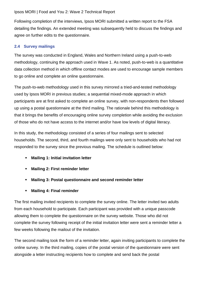Following completion of the interviews, Ipsos MORI submitted a written report to the FSA detailing the findings. An extended meeting was subsequently held to discuss the findings and agree on further edits to the questionnaire.

#### <span id="page-15-0"></span>**2.4 Survey mailings**

The survey was conducted in England, Wales and Northern Ireland using a push-to-web methodology, continuing the approach used in Wave 1. As noted, push-to-web is a quantitative data collection method in which offline contact modes are used to encourage sample members to go online and complete an online questionnaire.

The push-to-web methodology used in this survey mirrored a tried-and-tested methodology used by Ipsos MORI in previous studies; a sequential mixed-mode approach in which participants are at first asked to complete an online survey, with non-respondents then followed up using a postal questionnaire at the third mailing. The rationale behind this methodology is that it brings the benefits of encouraging online survey completion while avoiding the exclusion of those who do not have access to the internet and/or have low levels of digital literacy.

In this study, the methodology consisted of a series of four mailings sent to selected households. The second, third, and fourth mailings were only sent to households who had not responded to the survey since the previous mailing. The schedule is outlined below:

- **Mailing 1: Initial invitation letter**
- **Mailing 2: First reminder letter**
- **Mailing 3: Postal questionnaire and second reminder letter**
- **Mailing 4: Final reminder**

The first mailing invited recipients to complete the survey online. The letter invited two adults from each household to participate. Each participant was provided with a unique passcode allowing them to complete the questionnaire on the survey website. Those who did not complete the survey following receipt of the initial invitation letter were sent a reminder letter a few weeks following the mailout of the invitation.

The second mailing took the form of a reminder letter, again inviting participants to complete the online survey. In the third mailing, copies of the postal version of the questionnaire were sent alongside a letter instructing recipients how to complete and send back the postal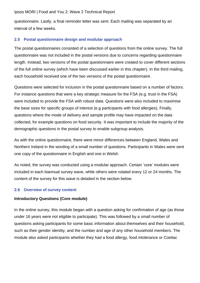questionnaire. Lastly, a final reminder letter was sent. Each mailing was separated by an interval of a few weeks.

#### <span id="page-16-0"></span>**2.5 Postal questionnaire design and modular approach**

The postal questionnaires consisted of a selection of questions from the online survey. The full questionnaire was not included in the postal versions due to concerns regarding questionnaire length. Instead, two versions of the postal questionnaire were created to cover different sections of the full online survey (which have been discussed earlier in this chapter). In the third mailing, each household received one of the two versions of the postal questionnaire.

Questions were selected for inclusion in the postal questionnaire based on a number of factors. For instance questions that were a key strategic measure for the FSA (e.g. trust in the FSA) were included to provide the FSA with robust data. Questions were also included to maximise the base sizes for specific groups of interest (e.g participants with food allergies). Finally, questions where the mode of delivery and sample profile may have impacted on the data collected, for example questions on food security. It was important to include the majority of the demographic questions in the postal survey to enable subgroup analysis.

As with the online questionnaire, there were minor differences between England, Wales and Northern Ireland in the wording of a small number of questions. Participants in Wales were sent one copy of the questionnaire in English and one in Welsh.

As noted, the survey was conducted using a modular approach. Certain 'core' modules were included in each biannual survey wave, while others were rotated every 12 or 24 months. The content of the survey for this wave is detailed in the section below.

#### <span id="page-16-1"></span>**2.6 Overview of survey content**

#### **Introductory Questions (Core module)**

In the online survey, this module began with a question asking for confirmation of age (as those under 16 years were not eligible to participate). This was followed by a small number of questions asking participants for some basic information about themselves and their household, such as their gender identity, and the number and age of any other household members. The module also asked participants whether they had a food allergy, food intolerance or Coeliac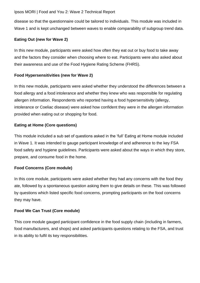disease so that the questionnaire could be tailored to individuals. This module was included in Wave 1 and is kept unchanged between waves to enable comparability of subgroup trend data.

#### **Eating Out (new for Wave 2)**

In this new module, participants were asked how often they eat out or buy food to take away and the factors they consider when choosing where to eat. Participants were also asked about their awareness and use of the Food Hygiene Rating Scheme (FHRS).

#### **Food Hypersensitivities (new for Wave 2)**

In this new module, participants were asked whether they understood the differences between a food allergy and a food intolerance and whether they knew who was responsible for regulating allergen information. Respondents who reported having a food hypersensitivity (allergy, intolerance or Coeliac disease) were asked how confident they were in the allergen information provided when eating out or shopping for food.

#### **Eating at Home (Core questions)**

This module included a sub set of questions asked in the 'full' Eating at Home module included in Wave 1. It was intended to gauge participant knowledge of and adherence to the key FSA food safety and hygiene guidelines. Participants were asked about the ways in which they store, prepare, and consume food in the home.

#### **Food Concerns (Core module)**

In this core module, participants were asked whether they had any concerns with the food they ate, followed by a spontaneous question asking them to give details on these. This was followed by questions which listed specific food concerns, prompting participants on the food concerns they may have.

#### **Food We Can Trust (Core module)**

This core module gauged participant confidence in the food supply chain (including in farmers, food manufacturers, and shops) and asked participants questions relating to the FSA, and trust in its ability to fulfil its key responsibilities.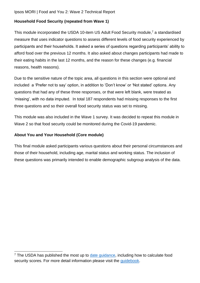#### **Household Food Security (repeated from Wave 1)**

This module incorporated the USDA 10-item US Adult Food Security module, <sup>7</sup> a standardised measure that uses indicator questions to assess different levels of food security experienced by participants and their households. It asked a series of questions regarding participants' ability to afford food over the previous 12 months. It also asked about changes participants had made to their eating habits in the last 12 months, and the reason for these changes (e.g. financial reasons, health reasons).

Due to the sensitive nature of the topic area, all questions in this section were optional and included a 'Prefer not to say' option, in addition to 'Don't know' or 'Not stated' options. Any questions that had any of these three responses, or that were left blank, were treated as 'missing', with no data imputed. In total 187 respondents had missing responses to the first three questions and so their overall food security status was set to missing.

This module was also included in the Wave 1 survey. It was decided to repeat this module in Wave 2 so that food security could be monitored during the Covid-19 pandemic.

#### **About You and Your Household (Core module)**

This final module asked participants various questions about their personal circumstances and those of their household, including age, marital status and working status. The inclusion of these questions was primarily intended to enable demographic subgroup analysis of the data.

 $<sup>7</sup>$  The USDA has published the most up to [date guidance,](https://www.ers.usda.gov/media/8279/ad2012.pdf) including how to calculate food</sup> security scores. For more detail information please visit the quidebook.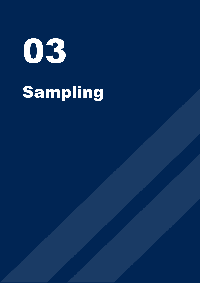03 Sampling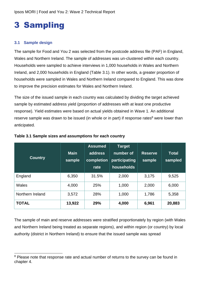# <span id="page-20-0"></span>3 Sampling

#### <span id="page-20-1"></span>**3.1 Sample design**

The sample for Food and You 2 was selected from the postcode address file (PAF) in England, Wales and Northern Ireland. The sample of addresses was un-clustered within each country. Households were sampled to achieve interviews in 1,000 households in Wales and Northern Ireland, and 2,000 households in England (Table 3.1). In other words, a greater proportion of households were sampled in Wales and Northern Ireland compared to England. This was done to improve the precision estimates for Wales and Northern Ireland.

The size of the issued sample in each country was calculated by dividing the target achieved sample by estimated address yield (proportion of addresses with at least one productive response). Yield estimates were based on actual yields obtained in Wave 1. An additional reserve sample was drawn to be issued (in whole or in part) if response rates<sup>8</sup> were lower than anticipated.

| <b>Country</b>   | <b>Main</b><br>sample | <b>Assumed</b><br>address<br>completion<br>rate | <b>Target</b><br>number of<br>participating<br>households | <b>Reserve</b><br>sample | Total<br>sampled |
|------------------|-----------------------|-------------------------------------------------|-----------------------------------------------------------|--------------------------|------------------|
| England          | 6,350                 | 31.5%                                           | 2,000                                                     | 3,175                    | 9,525            |
| Wales            | 4,000                 | 25%                                             | 1,000                                                     | 2,000                    | 6,000            |
| Northern Ireland | 3,572                 | 28%                                             | 1,000                                                     | 1,786                    | 5,358            |
| <b>TOTAL</b>     | 13,922                | 29%                                             | 4,000                                                     | 6,961                    | 20,883           |

#### <span id="page-20-2"></span>**Table 3.1 Sample sizes and assumptions for each country**

The sample of main and reserve addresses were stratified proportionately by region (with Wales and Northern Ireland being treated as separate regions), and within region (or country) by local authority (district in Northern Ireland) to ensure that the issued sample was spread

<sup>&</sup>lt;sup>8</sup> Please note that response rate and actual number of returns to the survey can be found in chapter 4.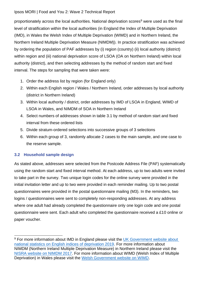proportionately across the local authorities. National deprivation scores<sup>9</sup> were used as the final level of stratification within the local authorities (in England the Index of Multiple Deprivation (IMD), in Wales the Welsh Index of Multiple Deprivation (WIMD) and in Northern Ireland, the Northern Ireland Multiple Deprivation Measure (NIMDM)). In practice stratification was achieved by ordering the population of PAF addresses by (i) region (country) (ii) local authority (district) within region and (iii) national deprivation score of LSOA (OA on Northern Ireland) within local authority (district), and then selecting addresses by the method of random start and fixed interval. The steps for sampling that were taken were:

- 1. Order the address list by region (for England only)
- 2. Within each English region / Wales / Northern Ireland, order addresses by local authority (district in Northern Ireland)
- 3. Within local authority / district, order addresses by IMD of LSOA in England, WIMD of LSOA in Wales, and NIMDM of SOA in Northern Ireland
- 4. Select numbers of addresses shown in table 3.1 by method of random start and fixed interval from these ordered lists
- 5. Divide stratum-ordered selections into successive groups of 3 selections
- 6. Within each group of 3, randomly allocate 2 cases to the main sample, and one case to the reserve sample.

#### <span id="page-21-0"></span>**3.2 Household sample design**

As stated above, addresses were selected from the Postcode Address File (PAF) systematically using the random start and fixed interval method. At each address, up to two adults were invited to take part in the survey. Two unique login codes for the online survey were provided in the initial invitation letter and up to two were provided in each reminder mailing. Up to two postal questionnaires were provided in the postal questionnaire mailing (M3). In the reminders, two logins / questionnaires were sent to completely non-responding addresses. At any address where one adult had already completed the questionnaire only one login code and one postal questionnaire were sent. Each adult who completed the questionnaire received a £10 online or paper voucher.

<sup>&</sup>lt;sup>9</sup> For more information about IMD in England please visit the UK Government website about [national statistics on English indices of deprivation 2019.](https://www.gov.uk/government/statistics/english-indices-of-deprivation-2019) For more information about NIMDM (Northern Ireland Multiple Deprivation Measure) in Northern Ireland please visit the [NISRA website on NIMDM 2017.](https://www.nisra.gov.uk/statistics/deprivation/northern-ireland-multiple-deprivation-measure-2017-nimdm2017) For more information about WIMD (Welsh Index of Multiple Deprivation) in Wales please visit the [Welsh Government website on WIMD.](https://gov.wales/welsh-index-multiple-deprivation)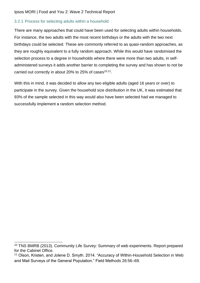#### 3.2.1 Process for selecting adults within a household

There are many approaches that could have been used for selecting adults within households. For instance, the two adults with the most recent birthdays or the adults with the two next birthdays could be selected. These are commonly referred to as quasi-random approaches, as they are roughly equivalent to a fully random approach. While this would have randomised the selection process to a degree in households where there were more than two adults, in selfadministered surveys it adds another barrier to completing the survey and has shown to not be carried out correctly in about 20% to 25% of cases $10,11$ .

With this in mind, it was decided to allow any two eligible adults (aged 16 years or over) to participate in the survey. Given the household size distribution in the UK, it was estimated that 93% of the sample selected in this way would also have been selected had we managed to successfully implement a random selection method.

<sup>&</sup>lt;sup>10</sup> TNS BMRB (2013). Community Life Survey: Summary of web experiments. Report prepared for the Cabinet Office.

<sup>&</sup>lt;sup>11</sup> Olson, Kristen, and Jolene D. Smyth. 2014. "Accuracy of Within-Household Selection in Web and Mail Surveys of the General Population." Field Methods 26:56–69.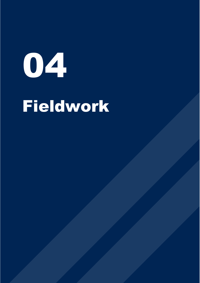# 04 Fieldwork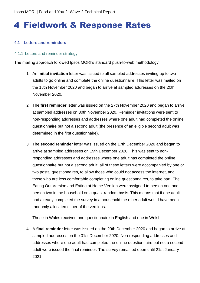## <span id="page-24-0"></span>4 Fieldwork & Response Rates

#### <span id="page-24-1"></span>**4.1 Letters and reminders**

#### 4.1.1 Letters and reminder strategy

The mailing approach followed Ipsos MORI's standard push-to-web methodology:

- 1. An **initial invitation** letter was issued to all sampled addresses inviting up to two adults to go online and complete the online questionnaire. This letter was mailed on the 18th November 2020 and began to arrive at sampled addresses on the 20th November 2020.
- 2. The **first reminder** letter was issued on the 27th November 2020 and began to arrive at sampled addresses on 30th November 2020. Reminder invitations were sent to non-responding addresses and addresses where one adult had completed the online questionnaire but not a second adult (the presence of an eligible second adult was determined in the first questionnaire).
- 3. The **second reminder** letter was issued on the 17th December 2020 and began to arrive at sampled addresses on 19th December 2020. This was sent to nonresponding addresses and addresses where one adult has completed the online questionnaire but not a second adult; all of these letters were accompanied by one or two postal questionnaires, to allow those who could not access the internet, and those who are less comfortable completing online questionnaires, to take part. The Eating Out Version and Eating at Home Version were assigned to person one and person two in the household on a quasi-random basis. This means that if one adult had already completed the survey in a household the other adult would have been randomly allocated either of the versions.

Those in Wales received one questionnaire in English and one in Welsh.

4. A **final reminder** letter was issued on the 29th December 2020 and began to arrive at sampled addresses on the 31st December 2020. Non-responding addresses and addresses where one adult had completed the online questionnaire but not a second adult were issued the final reminder. The survey remained open until 21st January 2021.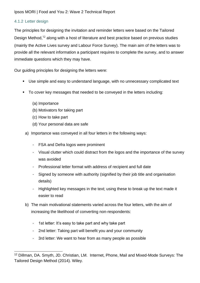#### 4.1.2 Letter design

The principles for designing the invitation and reminder letters were based on the Tailored Design Method,<sup>12</sup> along with a host of literature and best practice based on previous studies (mainly the Active Lives survey and Labour Force Survey). The main aim of the letters was to provide all the relevant information a participant requires to complete the survey, and to answer immediate questions which they may have.

Our guiding principles for designing the letters were:

- Use simple and easy to understand language, with no unnecessary complicated text
- To cover key messages that needed to be conveyed in the letters including:
	- (a) Importance
	- (b) Motivators for taking part
	- (c) How to take part
	- (d) Your personal data are safe
	- a) Importance was conveyed in all four letters in the following ways:
		- FSA and Defra logos were prominent
		- Visual clutter which could distract from the logos and the importance of the survey was avoided
		- Professional letter format with address of recipient and full date
		- Signed by someone with authority (signified by their job title and organisation details)
		- Highlighted key messages in the text; using these to break up the text made it easier to read
	- b) The main motivational statements varied across the four letters, with the aim of increasing the likelihood of converting non-respondents:
		- 1st letter: It's easy to take part and why take part
		- 2nd letter: Taking part will benefit you and your community
		- 3rd letter: We want to hear from as many people as possible

<sup>&</sup>lt;sup>12</sup> Dillman, DA. Smyth, JD. Christian, LM. Internet, Phone, Mail and Mixed-Mode Surveys: The Tailored Design Method (2014). Wiley.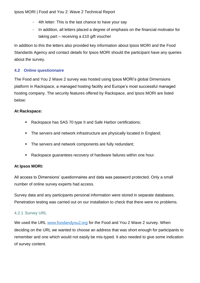- 4th letter: This is the last chance to have your say
- In addition, all letters placed a degree of emphasis on the financial motivator for taking part – receiving a £10 gift voucher

In addition to this the letters also provided key information about Ipsos MORI and the Food Standards Agency and contact details for Ipsos MORI should the participant have any queries about the survey.

#### <span id="page-26-0"></span>**4.2 Online questionnaire**

The Food and You 2 Wave 2 survey was hosted using Ipsos MORI's global Dimensions platform in Rackspace, a managed hosting facility and Europe's most successful managed hosting company. The security features offered by Rackspace, and Ipsos MORI are listed below:

#### **At Rackspace:**

- Rackspace has SAS 70 type II and Safe Harbor certifications;
- The servers and network infrastructure are physically located in England;
- The servers and network components are fully redundant;
- Rackspace guarantees recovery of hardware failures within one hour.

#### **At Ipsos MORI:**

All access to Dimensions' questionnaires and data was password protected. Only a small number of online survey experts had access.

Survey data and any participants personal information were stored in separate databases. Penetration testing was carried out on our installation to check that there were no problems.

#### 4.2.1 Survey URL

We used the URL [www.foodandyou2.org](http://www.foodandyou2.org/) for the Food and You 2 Wave 2 survey. When deciding on the URL we wanted to choose an address that was short enough for participants to remember and one which would not easily be mis-typed. It also needed to give some indication of survey content.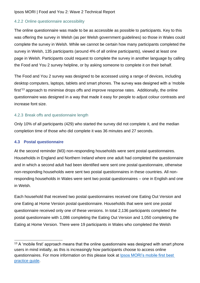#### 4.2.2 Online questionnaire accessibility

The online questionnaire was made to be as accessible as possible to participants. Key to this was offering the survey in Welsh (as per Welsh government guidelines) so those in Wales could complete the survey in Welsh. While we cannot be certain how many participants completed the survey in Welsh, 135 participants (around 4% of all online participants), viewed at least one page in Welsh. Participants could request to complete the survey in another language by calling the Food and You 2 survey helpline, or by asking someone to complete it on their behalf.

The Food and You 2 survey was designed to be accessed using a range of devices, including desktop computers, laptops, tablets and smart phones. The survey was designed with a 'mobile first'<sup>13</sup> approach to minimise drops offs and improve response rates. Additionally, the online questionnaire was designed in a way that made it easy for people to adjust colour contrasts and increase font size.

#### 4.2.3 Break offs and questionnaire length

Only 10% of all participants (429) who started the survey did not complete it, and the median completion time of those who did complete it was 36 minutes and 27 seconds.

#### <span id="page-27-0"></span>**4.3 Postal questionnaire**

At the second reminder (M3) non-responding households were sent postal questionnaires. Households in England and Northern Ireland where one adult had completed the questionnaire and in which a second adult had been identified were sent one postal questionnaire, otherwise non-responding households were sent two postal questionnaires in these countries. All nonresponding households in Wales were sent two postal questionnaires – one in English and one in Welsh.

Each household that received two postal questionnaires received one Eating Out Version and one Eating at Home Version postal questionnaire. Households that were sent one postal questionnaire received only one of these versions. In total 2,136 participants completed the postal questionnaire with 1,086 completing the Eating Out Version and 1,050 completing the Eating at Home Version. There were 19 participants in Wales who completed the Welsh

 $13$  A 'mobile first' approach means that the online questionnaire was designed with smart phone users in mind initially, as this is increasingly how participants choose to access online questionnaires. For more information on this please look at [Ipsos MORI's mobile first best](https://www.ipsos.com/sites/default/files/ct/publication/documents/2020-01/mobile_first_final_v4_web.pdf)  [practice guide.](https://www.ipsos.com/sites/default/files/ct/publication/documents/2020-01/mobile_first_final_v4_web.pdf)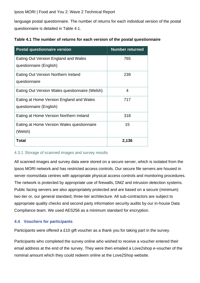language postal questionnaire. The number of returns for each individual version of the postal questionnaire is detailed in Table 4.1.

| <b>Postal questionnaire version</b>            | <b>Number returned</b> |
|------------------------------------------------|------------------------|
| Eating Out Version England and Wales           | 765                    |
| questionnaire (English)                        |                        |
| Eating Out Version Northern Ireland            | 239                    |
| questionnaire                                  |                        |
| Eating Out Version Wales questionnaire (Welsh) | 4                      |
| Eating at Home Version England and Wales       | 717                    |
| questionnaire (English)                        |                        |
| Eating at Home Version Northern Ireland        | 318                    |
| Eating at Home Version Wales questionnaire     | 15                     |
| (Welsh)                                        |                        |
| Total                                          | 2,136                  |

#### <span id="page-28-1"></span>**Table 4.1 The number of returns for each version of the postal questionnaire**

#### 4.3.1 Storage of scanned images and survey results

All scanned images and survey data were stored on a secure server, which is isolated from the Ipsos MORI network and has restricted access controls. Our secure file servers are housed in server rooms/data centres with appropriate physical access controls and monitoring procedures. The network is protected by appropriate use of firewalls, DMZ and intrusion detection systems. Public facing servers are also appropriately protected and are based on a secure (minimum) two tier or, our general standard, three-tier architecture. All sub-contractors are subject to appropriate quality checks and second party information security audits by our in-house Data Compliance team. We used AES256 as a minimum standard for encryption.

#### <span id="page-28-0"></span>**4.4 Vouchers for participants**

Participants were offered a £10 gift voucher as a thank you for taking part in the survey.

Participants who completed the survey online who wished to receive a voucher entered their email address at the end of the survey. They were then emailed a Love2shop e-voucher of the nominal amount which they could redeem online at the Love2Shop website.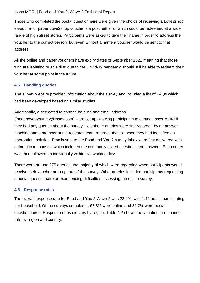Those who completed the postal questionnaire were given the choice of receiving a Love2shop e-voucher or paper Love2shop voucher via post, either of which could be redeemed at a wide range of high street stores. Participants were asked to give their name in order to address the voucher to the correct person, but even without a name a voucher would be sent to that address.

All the online and paper vouchers have expiry dates of September 2021 meaning that those who are isolating or shielding due to the Covid-19 pandemic should still be able to redeem their voucher at some point in the future.

#### <span id="page-29-0"></span>**4.5 Handling queries**

The survey website provided information about the survey and included a list of FAQs which had been developed based on similar studies.

#### Additionally, a dedicated telephone helpline and email address

[\(foodandyou2survey@ipsos.com\)](mailto:foodandyou2survey@ipsos.com) were set up allowing participants to contact Ipsos MORI if they had any queries about the survey. Telephone queries were first recorded by an answer machine and a member of the research team returned the call when they had identified an appropriate solution. Emails sent to the Food and You 2 survey inbox were first answered with automatic responses, which included the commonly asked questions and answers. Each query was then followed up individually within five working days.

There were around 275 queries, the majority of which were regarding when participants would receive their voucher or to opt out of the survey. Other queries included participants requesting a postal questionnaire or experiencing difficulties accessing the online survey.

#### <span id="page-29-1"></span>**4.6 Response rates**

The overall response rate for Food and You 2 Wave 2 was 28.4%, with 1.49 adults participating per household. Of the surveys completed, 63.8% were online and 36.2% were postal questionnaires. Response rates did vary by region. Table 4.2 shows the variation in response rate by region and country.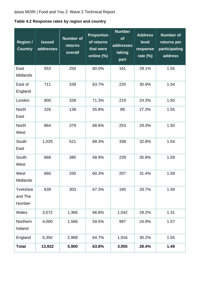<span id="page-30-0"></span>**Table 4.2 Response rates by region and country**

| <b>Region /</b><br><b>Country</b> | <b>Issued</b><br>addresses | <b>Number of</b><br><b>returns</b><br>overall | <b>Proportion</b><br>of returns<br>that were<br>online (%) | <b>Number</b><br>of<br>addresses<br>taking<br>part | <b>Address</b><br>level<br>response<br>rate $(\%)$ | <b>Number of</b><br>returns per<br>participating<br>address |
|-----------------------------------|----------------------------|-----------------------------------------------|------------------------------------------------------------|----------------------------------------------------|----------------------------------------------------|-------------------------------------------------------------|
| East<br><b>Midlands</b>           | 553                        | 250                                           | 60.0%                                                      | 161                                                | 29.1%                                              | 1.55                                                        |
| East of<br>England                | 711                        | 339                                           | 63.7%                                                      | 220                                                | 30.9%                                              | 1.54                                                        |
| London                            | 900                        | 328                                           | 71.3%                                                      | 219                                                | 24.3%                                              | 1.50                                                        |
| <b>North</b><br>East              | 326                        | 138                                           | 55.8%                                                      | 89                                                 | 27.3%                                              | 1.55                                                        |
| <b>North</b><br>West              | 864                        | 379                                           | 68.6%                                                      | 253                                                | 29.3%                                              | 1.50                                                        |
| South<br>East                     | 1,029                      | 521                                           | 68.3%                                                      | 338                                                | 32.8%                                              | 1.54                                                        |
| South<br>West                     | 668                        | 380                                           | 58.9%                                                      | 239                                                | 35.8%                                              | 1.59                                                        |
| West<br>Midlands                  | 660                        | 330                                           | 60.3%                                                      | 207                                                | 31.4%                                              | 1.59                                                        |
| Yorkshire<br>and The<br>Humber    | 639                        | 303                                           | 67.3%                                                      | 190                                                | 29.7%                                              | 1.59                                                        |
| Wales                             | 3,572                      | 1,366                                         | 66.8%                                                      | 1,042                                              | 29.2%                                              | 1.31                                                        |
| Northern<br>Ireland               | 4,000                      | 1,566                                         | 59.5%                                                      | 997                                                | 24.9%                                              | 1.57                                                        |
| England                           | 6,350                      | 2,968                                         | 64.7%                                                      | 1,916                                              | 30.2%                                              | 1.55                                                        |
| <b>Total</b>                      | 13,922                     | 5,900                                         | 63.8%                                                      | 3,955                                              | 28.4%                                              | 1.49                                                        |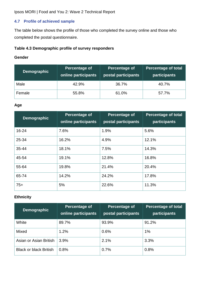#### <span id="page-31-0"></span>**4.7 Profile of achieved sample**

The table below shows the profile of those who completed the survey online and those who completed the postal questionnaire.

#### <span id="page-31-1"></span>**Table 4.3 Demographic profile of survey responders**

#### **Gender**

| <b>Demographic</b> | Percentage of<br>online participants | Percentage of<br>postal participants | <b>Percentage of total</b><br>participants |
|--------------------|--------------------------------------|--------------------------------------|--------------------------------------------|
| Male               | 42.9%                                | 36.7%                                | 40.7%                                      |
| Female             | 55.8%                                | 61.0%                                | 57.7%                                      |

#### **Age**

| <b>Demographic</b> | Percentage of<br>online participants | Percentage of<br>postal participants | <b>Percentage of total</b><br>participants |
|--------------------|--------------------------------------|--------------------------------------|--------------------------------------------|
| $16 - 24$          | 7.6%                                 | 1.9%                                 | 5.6%                                       |
| 25-34              | 16.2%                                | 4.9%                                 | 12.1%                                      |
| 35-44              | 18.1%                                | 7.5%                                 | 14.3%                                      |
| 45-54              | 19.1%                                | 12.8%                                | 16.8%                                      |
| 55-64              | 19.8%                                | 21.4%                                | 20.4%                                      |
| 65-74              | 14.2%                                | 24.2%                                | 17.8%                                      |
| $75+$              | 5%                                   | 22.6%                                | 11.3%                                      |

#### **Ethnicity**

| <b>Demographic</b>            | Percentage of<br>online participants | Percentage of<br>postal participants | <b>Percentage of total</b><br>participants |
|-------------------------------|--------------------------------------|--------------------------------------|--------------------------------------------|
| White                         | 89.7%                                | 93.9%                                | 91.2%                                      |
| Mixed                         | 1.2%                                 | 0.6%                                 | 1%                                         |
| Asian or Asian British        | 3.9%                                 | 2.1%                                 | 3.3%                                       |
| <b>Black or black British</b> | 0.8%                                 | 0.7%                                 | 0.8%                                       |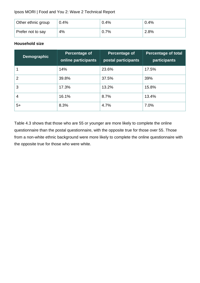| Other ethnic group | 0.4% | 0.4% | 0.4% |
|--------------------|------|------|------|
| Prefer not to say  | 4%   | 0.7% | 2.8% |

#### **Household size**

| <b>Demographic</b> | <b>Percentage of</b><br>online participants | Percentage of<br>postal participants | <b>Percentage of total</b><br>participants |
|--------------------|---------------------------------------------|--------------------------------------|--------------------------------------------|
|                    | 14%                                         | 23.6%                                | 17.5%                                      |
| $\overline{2}$     | 39.8%                                       | 37.5%                                | 39%                                        |
| 3                  | 17.3%                                       | 13.2%                                | 15.8%                                      |
| $\overline{4}$     | 16.1%                                       | 8.7%                                 | 13.4%                                      |
| $5+$               | 8.3%                                        | 4.7%                                 | 7.0%                                       |

Table 4.3 shows that those who are 55 or younger are more likely to complete the online questionnaire than the postal questionnaire, with the opposite true for those over 55. Those from a non-white ethnic background were more likely to complete the online questionnaire with the opposite true for those who were white.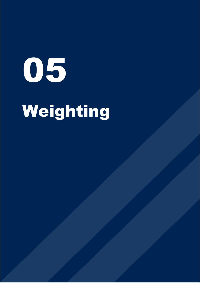# 05 Weighting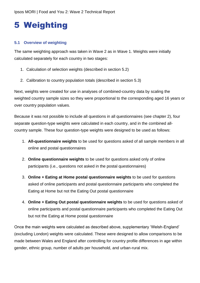# <span id="page-34-0"></span>5 Weighting

#### <span id="page-34-1"></span>**5.1 Overview of weighting**

The same weighting approach was taken in Wave 2 as in Wave 1. Weights were initially calculated separately for each country in two stages:

- 1. Calculation of selection weights (described in section 5.2)
- 2. Calibration to country population totals (described in section 5.3)

Next, weights were created for use in analyses of combined-country data by scaling the weighted country sample sizes so they were proportional to the corresponding aged 16 years or over country population values.

Because it was not possible to include all questions in all questionnaires (see chapter 2), four separate question-type weights were calculated in each country, and in the combined allcountry sample. These four question-type weights were designed to be used as follows:

- 1. **All-questionnaire weights** to be used for questions asked of all sample members in all online and postal questionnaires
- 2. **Online questionnaire weights** to be used for questions asked only of online participants (i.e., questions not asked in the postal questionnaires)
- 3. **Online + Eating at Home postal questionnaire weights** to be used for questions asked of online participants and postal questionnaire participants who completed the Eating at Home but not the Eating Out postal questionnaire
- 4. **Online + Eating Out postal questionnaire weights** to be used for questions asked of online participants and postal questionnaire participants who completed the Eating Out but not the Eating at Home postal questionnaire

Once the main weights were calculated as described above, supplementary 'Welsh-England' (excluding London) weights were calculated. These were designed to allow comparisons to be made between Wales and England after controlling for country profile differences in age within gender, ethnic group, number of adults per household, and urban-rural mix.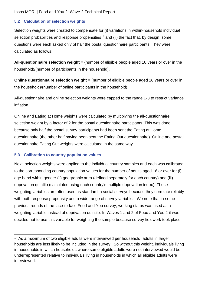#### <span id="page-35-0"></span>**5.2 Calculation of selection weights**

Selection weights were created to compensate for (i) variations in within-household individual selection probabilities and response propensities<sup>14</sup> and (ii) the fact that, by design, some questions were each asked only of half the postal questionnaire participants. They were calculated as follows:

**All-questionnaire selection weight** = (number of eligible people aged 16 years or over in the household)/(number of participants in the household).

**Online questionnaire selection weight** = (number of eligible people aged 16 years or over in the household)/(number of online participants in the household).

All-questionnaire and online selection weights were capped to the range 1-3 to restrict variance inflation.

Online and Eating at Home weights were calculated by multiplying the all-questionnaire selection weight by a factor of 2 for the postal questionnaire participants. This was done because only half the postal survey participants had been sent the Eating at Home questionnaire (the other half having been sent the Eating Out questionnaire). Online and postal questionnaire Eating Out weights were calculated in the same way.

#### <span id="page-35-1"></span>**5.3 Calibration to country population values**

Next, selection weights were applied to the individual country samples and each was calibrated to the corresponding country population values for the number of adults aged 16 or over for (i) age band within gender (ii) geographic area (defined separately for each country) and (iii) deprivation quintile (calculated using each country's multiple deprivation index). These weighting variables are often used as standard in social surveys because they correlate reliably with both response propensity and a wide range of survey variables. We note that in some previous rounds of the face-to-face Food and You survey, working status was used as a weighting variable instead of deprivation quintile. In Waves 1 and 2 of Food and You 2 it was decided not to use this variable for weighting the sample because survey fieldwork took place

<sup>&</sup>lt;sup>14</sup> As a maximum of two eligible adults were interviewed per household, adults in larger households are less likely to be included in the survey. So without this weight, individuals living in households in which households where some eligible adults were not interviewed would be underrepresented relative to individuals living in households in which all eligible adults were interviewed.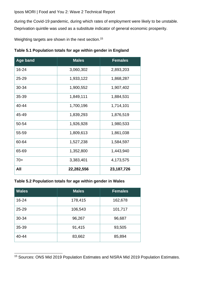during the Covid-19 pandemic, during which rates of employment were likely to be unstable. Deprivation quintile was used as a substitute indicator of general economic prosperity.

Weighting targets are shown in the next section.<sup>15</sup>

| Age band  | <b>Males</b> | <b>Females</b> |
|-----------|--------------|----------------|
| 16-24     | 3,060,302    | 2,893,203      |
| $25 - 29$ | 1,933,122    | 1,868,287      |
| 30-34     | 1,900,552    | 1,907,402      |
| 35-39     | 1,849,111    | 1,884,531      |
| 40-44     | 1,700,196    | 1,714,101      |
| 45-49     | 1,839,293    | 1,876,519      |
| 50-54     | 1,926,928    | 1,980,533      |
| 55-59     | 1,809,613    | 1,861,038      |
| 60-64     | 1,527,238    | 1,584,597      |
| 65-69     | 1,352,800    | 1,443,940      |
| $70+$     | 3,383,401    | 4,173,575      |
| All       | 22,282,556   | 23, 187, 726   |

#### **Table 5.2 Population totals for age within gender in Wales**

| <b>Wales</b> | <b>Males</b> | Females |
|--------------|--------------|---------|
| 16-24        | 178,415      | 162,678 |
| $25 - 29$    | 106,543      | 101,717 |
| 30-34        | 96,267       | 96,687  |
| 35-39        | 91,415       | 93,505  |
| 40-44        | 83,662       | 85,894  |

<sup>15</sup> Sources: ONS Mid 2019 Population Estimates and NISRA Mid 2019 Population Estimates.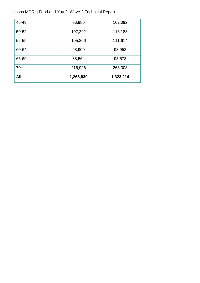| All   | 1,265,830 | 1,323,214 |
|-------|-----------|-----------|
| $70+$ | 216,926   | 263,308   |
| 65-69 | 88,564    | 93,578    |
| 60-64 | 93,900    | 98,953    |
| 55-59 | 105,866   | 111,614   |
| 50-54 | 107,292   | 113,188   |
| 45-49 | 96,980    | 102,092   |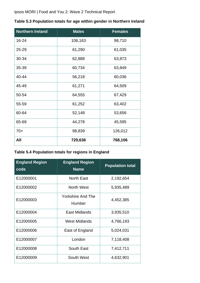| <b>Northern Ireland</b> | <b>Males</b> | <b>Females</b> |
|-------------------------|--------------|----------------|
| 16-24                   | 106,163      | 98,710         |
| 25-29                   | 61,290       | 61,035         |
| 30-34                   | 62,888       | 63,873         |
| 35-39                   | 60,734       | 63,849         |
| 40-44                   | 56,218       | 60,036         |
| 45-49                   | 61,271       | 64,509         |
| 50-54                   | 64,555       | 67,429         |
| 55-59                   | 61,252       | 63,402         |
| 60-64                   | 52,148       | 53,656         |
| 65-69                   | 44,278       | 45,595         |
| $70+$                   | 98,839       | 126,012        |
| All                     | 729,636      | 768,106        |

#### **Table 5.3 Population totals for age within gender in Northern Ireland**

#### **Table 5.4 Population totals for regions in England**

| <b>England Region</b><br>code | <b>England Region</b><br><b>Name</b> | <b>Population total</b> |
|-------------------------------|--------------------------------------|-------------------------|
| E12000001                     | <b>North East</b>                    | 2,192,654               |
| E12000002                     | North West                           | 5,935,489               |
| E12000003                     | <b>Yorkshire And The</b><br>Humber   | 4,452,385               |
| E12000004                     | East Midlands                        | 3,935,510               |
| E12000005                     | <b>West Midlands</b>                 | 4,766,193               |
| E12000006                     | East of England                      | 5,024,031               |
| E12000007                     | London                               | 7,118,408               |
| E12000008                     | <b>South East</b>                    | 7,412,711               |
| E12000009                     | South West                           | 4,632,901               |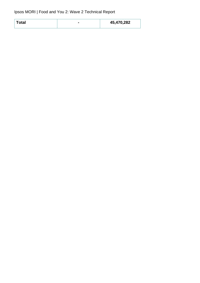| Total | 45,470,282 |
|-------|------------|
|       |            |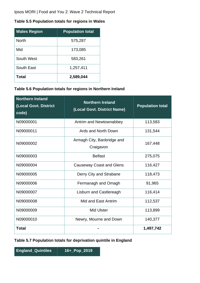#### **Table 5.5 Population totals for regions in Wales**

| <b>Wales Region</b> | <b>Population total</b> |
|---------------------|-------------------------|
| <b>North</b>        | 575,287                 |
| Mid                 | 173,085                 |
| South West          | 583,261                 |
| South East          | 1,257,411               |
| Total               | 2,589,044               |

#### **Table 5.6 Population totals for regions in Northern Ireland**

| <b>Northern Ireland</b><br>(Local Govt. District<br>code) | <b>Northern Ireland</b><br>(Local Govt. District Name) | <b>Population total</b> |
|-----------------------------------------------------------|--------------------------------------------------------|-------------------------|
| N09000001                                                 | Antrim and Newtownabbey                                | 113,583                 |
| N09000011                                                 | Ards and North Down                                    | 131,544                 |
| N09000002                                                 | Armagh City, Banbridge and<br>Craigavon                | 167,448                 |
| N09000003                                                 | <b>Belfast</b>                                         | 275,075                 |
| N09000004                                                 | <b>Causeway Coast and Glens</b>                        | 116,427                 |
| N09000005                                                 | Derry City and Strabane                                | 118,473                 |
| N09000006                                                 | Fermanagh and Omagh                                    | 91,965                  |
| N09000007                                                 | <b>Lisburn and Castlereagh</b>                         | 116,414                 |
| N09000008                                                 | Mid and East Antrim                                    | 112,537                 |
| N09000009                                                 | <b>Mid Ulster</b>                                      | 113,899                 |
| N09000010                                                 | Newry, Mourne and Down                                 | 140,377                 |
| <b>Total</b>                                              |                                                        | 1,497,742               |

**Table 5.7 Population totals for deprivation quintile in England** 

**England\_Quintiles 16+\_Pop\_2019**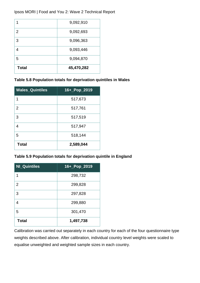| <b>Total</b>   | 45,470,282 |
|----------------|------------|
| 5              | 9,094,870  |
| 4              | 9,093,446  |
| 3              | 9,096,363  |
| $\overline{2}$ | 9,092,693  |
|                | 9,092,910  |

#### **Table 5.8 Population totals for deprivation quintiles in Wales**

| <b>Wales_Quintiles</b> | 16+_Pop_2019 |
|------------------------|--------------|
| 1                      | 517,673      |
| $\overline{2}$         | 517,761      |
| 3                      | 517,519      |
| 4                      | 517,947      |
| 5                      | 518,144      |
| <b>Total</b>           | 2,589,044    |

#### **Table 5.9 Population totals for deprivation quintile in England**

| <b>NI_Quintiles</b> | 16+_Pop_2019 |
|---------------------|--------------|
| 1                   | 298,732      |
| 2                   | 299,828      |
| 3                   | 297,828      |
| 4                   | 299,880      |
| 5                   | 301,470      |
| <b>Total</b>        | 1,497,738    |

Calibration was carried out separately in each country for each of the four questionnaire type weights described above. After calibration, individual country level weights were scaled to equalise unweighted and weighted sample sizes in each country.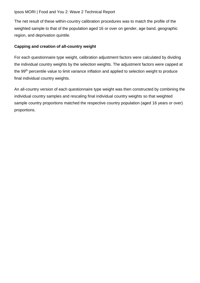The net result of these within-country calibration procedures was to match the profile of the weighted sample to that of the population aged 16 or over on gender, age band, geographic region, and deprivation quintile.

#### **Capping and creation of all-country weight**

For each questionnaire type weight, calibration adjustment factors were calculated by dividing the individual country weights by the selection weights. The adjustment factors were capped at the 99<sup>th</sup> percentile value to limit variance inflation and applied to selection weight to produce final individual country weights.

An all-country version of each questionnaire type weight was then constructed by combining the individual country samples and rescaling final individual country weights so that weighted sample country proportions matched the respective country population (aged 16 years or over) proportions.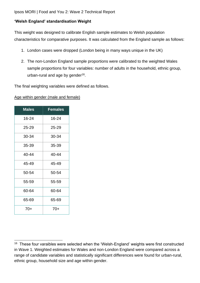#### **'Welsh England' standardisation Weight**

This weight was designed to calibrate English sample estimates to Welsh population characteristics for comparative purposes. It was calculated from the England sample as follows:

- 1. London cases were dropped (London being in many ways unique in the UK)
- 2. The non-London England sample proportions were calibrated to the weighted Wales sample proportions for four variables: number of adults in the household, ethnic group, urban-rural and age by gender<sup>16</sup>.

The final weighting variables were defined as follows.

| <b>Males</b> | <b>Females</b> |
|--------------|----------------|
| 16-24        | 16-24          |
| 25-29        | 25-29          |
| 30-34        | 30-34          |
| 35-39        | 35-39          |
| 40-44        | 40-44          |
| 45-49        | 45-49          |
| 50-54        | 50-54          |
| 55-59        | 55-59          |
| 60-64        | 60-64          |
| 65-69        | 65-69          |
| $70+$        | $70+$          |

Age within gender (male and female)

<sup>&</sup>lt;sup>16</sup> These four varaibles were selected when the 'Welsh-England' weights were first constructed in Wave 1. Weighted estimates for Wales and non-London England were compared across a range of candidate variables and statistically significant differences were found for urban-rural, ethnic group, household size and age within gender.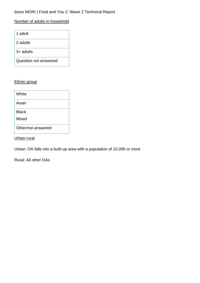#### Number of adults in household

| 1 adult               |
|-----------------------|
| 2 adults              |
| $3+$ adults           |
| Question not answered |

#### Ethnic group

| White              |
|--------------------|
| Asian              |
| <b>Black</b>       |
| Mixed              |
| Other/not answered |

Urban-rural

Urban: OA falls into a built-up area with a population of 10,000 or more

Rural: All other OAs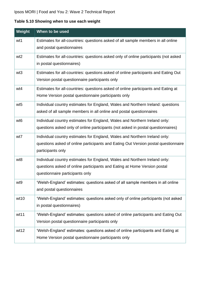#### **Table 5.10 Showing when to use each weight**

| Weight          | When to be used                                                                                                                                                                           |
|-----------------|-------------------------------------------------------------------------------------------------------------------------------------------------------------------------------------------|
| wt1             | Estimates for all-countries: questions asked of all sample members in all online<br>and postal questionnaires                                                                             |
| wt <sub>2</sub> | Estimates for all-countries: questions asked only of online participants (not asked<br>in postal questionnaires)                                                                          |
| wt <sub>3</sub> | Estimates for all-countries: questions asked of online participants and Eating Out<br>Version postal questionnaire participants only                                                      |
| wt4             | Estimates for all-countries: questions asked of online participants and Eating at<br>Home Version postal questionnaire participants only                                                  |
| wt <sub>5</sub> | Individual country estimates for England, Wales and Northern Ireland: questions<br>asked of all sample members in all online and postal questionnaires                                    |
| wt <sub>6</sub> | Individual country estimates for England, Wales and Northern Ireland only:<br>questions asked only of online participants (not asked in postal questionnaires)                            |
| wt7             | Individual country estimates for England, Wales and Northern Ireland only:<br>questions asked of online participants and Eating Out Version postal questionnaire<br>participants only     |
| wt8             | Individual country estimates for England, Wales and Northern Ireland only:<br>questions asked of online participants and Eating at Home Version postal<br>questionnaire participants only |
| wt9             | 'Welsh-England' estimates: questions asked of all sample members in all online<br>and postal questionnaires                                                                               |
| wt10            | 'Welsh-England' estimates: questions asked only of online participants (not asked<br>in postal questionnaires)                                                                            |
| wt11            | 'Welsh-England' estimates: questions asked of online participants and Eating Out<br>Version postal questionnaire participants only                                                        |
| wt12            | 'Welsh-England' estimates: questions asked of online participants and Eating at<br>Home Version postal questionnaire participants only                                                    |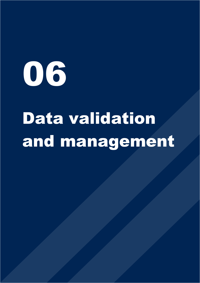

## Data validation and management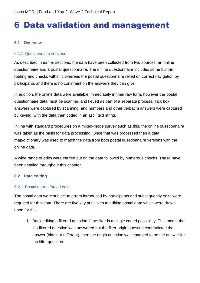### 6 Data validation and management

#### **6.1 Overview**

#### 6.1.1 Questionnaire versions

As described in earlier sections, the data have been collected from two sources: an online questionnaire and a postal questionnaire. The online questionnaire includes some built-in routing and checks within it, whereas the postal questionnaire relied on correct navigation by participants and there is no constraint on the answers they can give.

In addition, the online data were available immediately in their raw form, however the postal questionnaire data must be scanned and keyed as part of a separate process. Tick box answers were captured by scanning, and numbers and other verbatim answers were captured by keying, with the data then coded in an ascii text string.

In line with standard procedures on a mixed-mode survey such as this, the online questionnaire was taken as the basis for data processing. Once that was processed then a data map/dictionary was used to match the data from both postal questionnaire versions with the online data.

A wide range of edits were carried out on the data followed by numerous checks. These have been detailed throughout this chapter.

#### **6.2 Data editing**

#### 6.2.1 Postal data – forced edits

The postal data were subject to errors introduced by participants and subsequently edits were required for this data. There are five key principles to editing postal data which were drawn upon for this:

1. Back editing a filtered question if the filter is a single coded possibility. This meant that if a filtered question was answered but the filter origin question contradicted that answer (blank or different), then the origin question was changed to be the answer for the filter question.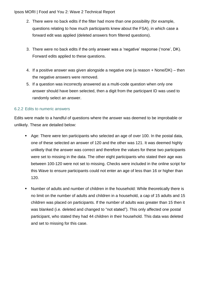- 2. There were no back edits if the filter had more than one possibility (for example, questions relating to how much participants knew about the FSA), in which case a forward edit was applied (deleted answers from filtered questions).
- 3. There were no back edits if the only answer was a 'negative' response ('none', DK). Forward edits applied to these questions.
- 4. If a positive answer was given alongside a negative one (a reason + None/DK) then the negative answers were removed.
- 5. If a question was incorrectly answered as a multi-code question when only one answer should have been selected, then a digit from the participant ID was used to randomly select an answer.

#### 6.2.2 Edits to numeric answers

Edits were made to a handful of questions where the answer was deemed to be improbable or unlikely. These are detailed below:

- Age: There were ten participants who selected an age of over 100. In the postal data, one of these selected an answer of 120 and the other was 121. It was deemed highly unlikely that the answer was correct and therefore the values for these two participants were set to missing in the data. The other eight participants who stated their age was between 100-120 were not set to missing. Checks were included in the online script for this Wave to ensure participants could not enter an age of less than 16 or higher than 120.
- Number of adults and number of children in the household: While theoretically there is no limit on the number of adults and children in a household, a cap of 15 adults and 15 children was placed on participants. If the number of adults was greater than 15 then it was blanked (i.e. deleted and changed to "not stated"). This only affected one postal participant, who stated they had 44 children in their household. This data was deleted and set to missing for this case.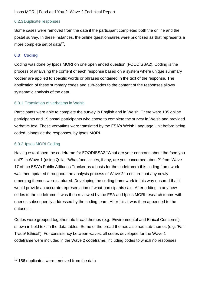#### 6.2.3Duplicate responses

Some cases were removed from the data if the participant completed both the online and the postal survey. In these instances, the online questionnaires were prioritised as that represents a more complete set of data<sup>17</sup>.

#### **6.3 Coding**

Coding was done by Ipsos MORI on one open ended question (FOODISSA2). Coding is the process of analysing the content of each response based on a system where unique summary 'codes' are applied to specific words or phrases contained in the text of the response. The application of these summary codes and sub-codes to the content of the responses allows systematic analysis of the data.

#### 6.3.1 Translation of verbatims in Welsh

Participants were able to complete the survey in English and in Welsh. There were 135 online participants and 19 postal participants who chose to complete the survey in Welsh and provided verbatim text. These verbatims were translated by the FSA's Welsh Language Unit before being coded, alongside the responses, by Ipsos MORI.

#### 6.3.2 Ipsos MORI Coding

Having established the codeframe for FOODISSA2 "What are your concerns about the food you eat?" in Wave 1 (using Q.1a. "What food issues, if any, are you concerned about?" from Wave 17 of the FSA's Public Attitudes Tracker as a basis for the codeframe) this coding framework was then updated throughout the analysis process of Wave 2 to ensure that any newly emerging themes were captured. Developing the coding framework in this way ensured that it would provide an accurate representation of what participants said. After adding in any new codes to the codeframe it was then reviewed by the FSA and Ipsos MORI research teams with queries subsequently addressed by the coding team. After this it was then appended to the datasets.

Codes were grouped together into broad themes (e.g. 'Environmental and Ethical Concerns'), shown in bold text in the data tables. Some of the broad themes also had sub-themes (e.g. 'Fair Trade/ Ethical'). For consistency between waves, all codes developed for the Wave 1 codeframe were included in the Wave 2 codeframe, including codes to which no responses

<sup>&</sup>lt;sup>17</sup> 156 duplicates were removed from the data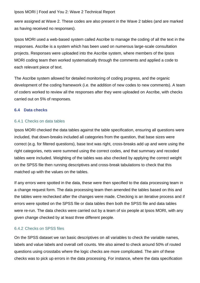were assigned at Wave 2. These codes are also present in the Wave 2 tables (and are marked as having received no responses).

Ipsos MORI used a web-based system called Ascribe to manage the coding of all the text in the responses. Ascribe is a system which has been used on numerous large-scale consultation projects. Responses were uploaded into the Ascribe system, where members of the Ipsos MORI coding team then worked systematically through the comments and applied a code to each relevant piece of text.

The Ascribe system allowed for detailed monitoring of coding progress, and the organic development of the coding framework (i.e. the addition of new codes to new comments). A team of coders worked to review all the responses after they were uploaded on Ascribe, with checks carried out on 5% of responses.

#### **6.4 Data checks**

#### 6.4.1 Checks on data tables

Ipsos MORI checked the data tables against the table specification, ensuring all questions were included, that down-breaks included all categories from the question, that base sizes were correct (e.g. for filtered questions), base text was right, cross-breaks add up and were using the right categories, nets were summed using the correct codes, and that summary and recoded tables were included. Weighting of the tables was also checked by applying the correct weight on the SPSS file then running descriptives and cross-break tabulations to check that this matched up with the values on the tables.

If any errors were spotted in the data, these were then specified to the data processing team in a change request form. The data processing team then amended the tables based on this and the tables were rechecked after the changes were made. Checking is an iterative process and if errors were spotted on the SPSS file or data tables then both the SPSS file and data tables were re-run. The data checks were carried out by a team of six people at Ipsos MORI, with any given change checked by at least three different people.

#### 6.4.2 Checks on SPSS files

On the SPSS dataset we ran basic descriptives on all variables to check the variable names, labels and value labels and overall cell counts. We also aimed to check around 50% of routed questions using crosstabs where the logic checks are more complicated. The aim of these checks was to pick up errors in the data processing. For instance, where the data specification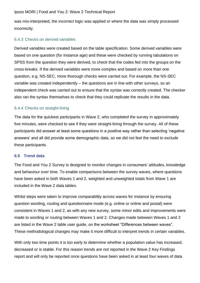was mis-interpreted, the incorrect logic was applied or where the data was simply processed incorrectly.

#### 6.4.3 Checks on derived variables

Derived variables were created based on the table specification. Some derived variables were based on one question (for instance age) and these were checked by running tabulations on SPSS from the question they were derived, to check that the codes fed into the groups on the cross-breaks. If the derived variables were more complex and based on more than one question, e.g. NS-SEC, more thorough checks were carried out. For example, the NS-SEC variable was created independently – the questions are in line with other surveys, so an independent check was carried out to ensure that the syntax was correctly created. The checker also ran the syntax themselves to check that they could replicate the results in the data.

#### 6.4.4 Checks on straight-lining

The data for the quickest participants in Wave 2, who completed the survey in approximately five minutes, were checked to see if they were straight-lining through the survey. All of these participants did answer at least some questions in a positive way rather than selecting 'negative answers' and all did provide some demographic data, so we did not feel the need to exclude these participants.

#### **6.5 Trend data**

The Food and You 2 Survey is designed to monitor changes in consumers' attitudes, knowledge and behaviour over time. To enable comparisons between the survey waves, where questions have been asked in both Waves 1 and 2, weighted and unweighted totals from Wave 1 are included in the Wave 2 data tables.

Whilst steps were taken to improve comparability across waves for instance by ensuring question wording, routing and questionnaire mode (e.g. online or online and postal) were consistent in Waves 1 and 2, as with any new survey, some minor edits and improvements were made to wording or routing between Waves 1 and 2. Changes made between Waves 1 and 2 are listed in the Wave 2 table user guide, on the worksheet "Differences between waves". These methodological changes may make it more difficult to interpret trends in certain variables.

With only two time points it is too early to determine whether a population value has increased, decreased or is stable. For this reason trends are not reported in the Wave 2 Key Findings report and will only be reported once questions have been asked in at least four waves of data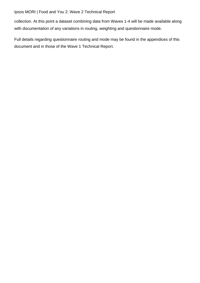collection. At this point a dataset combining data from Waves 1-4 will be made available along with documentation of any variations in routing, weighting and questionnaire mode.

Full details regarding questionnaire routing and mode may be found in the appendices of this document and in those of the Wave 1 Technical Report.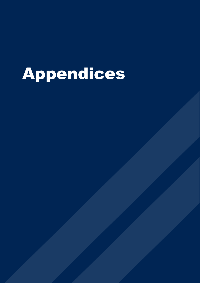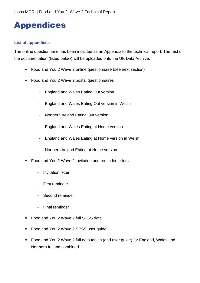## Appendices

#### **List of appendices**

The online questionnaire has been included as an Appendix to the technical report. The rest of the documentation (listed below) will be uploaded onto the UK Data Archive:

- Food and You 2 Wave 2 online questionnaire (see next section)
- Food and You 2 Wave 2 postal questionnaires
	- England and Wales Eating Out version
	- England and Wales Eating Out version in Welsh
	- Northern Ireland Eating Out version
	- England and Wales Eating at Home version
	- England and Wales Eating at Home version in Welsh
	- Northern Ireland Eating at Home version
- Food and You 2 Wave 2 invitation and reminder letters
	- Invitation letter
	- First reminder
	- Second reminder
	- Final reminder
- Food and You 2 Wave 2 full SPSS data
- Food and You 2 Wave 2 SPSS user guide
- Food and You 2 Wave 2 full data tables (and user guide) for England, Wales and Northern Ireland combined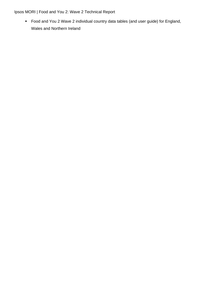■ Food and You 2 Wave 2 individual country data tables (and user guide) for England, Wales and Northern Ireland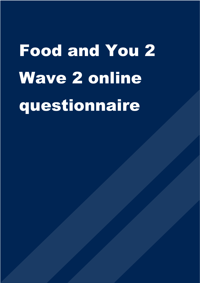# Food and You 2 Wave 2 online questionnaire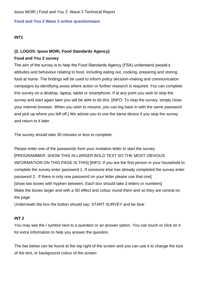#### **Food and You 2 Wave 2 online questionnaire**

#### **INT1**

#### **{2. LOGOS: Ipsos MORI, Food Standards Agency}**

#### **Food and You 2 survey**

The aim of the survey is to help the Food Standards Agency (FSA) understand people's attitudes and behaviour relating to food, including eating out, cooking, preparing and storing food at home. The findings will be used to inform policy decision-making and communication campaigns by identifying areas where action or further research is required. You can complete this survey on a desktop, laptop, tablet or smartphone. If at any point you wish to stop the survey and start again later you will be able to do this. [INFO: To stop the survey, simply close your internet browser. When you wish to resume, you can log back in with the same password and pick up where you left off.] We advise you to use the same device if you stop the survey and return to it later.

The survey should take 30 minutes or less to complete.

Please enter one of the passwords from your invitation letter to start the survey. [PROGRAMMER: SHOW THIS IN LARGER BOLD TEXT SO THE MOST OBVIOUS INFORMATION ON THIS PAGE IS THIS] [INFO: If you are the first person in your household to complete the survey enter password 1. If someone else has already completed the survey enter password 2. If there is only one password on your letter please use that one] [show two boxes with hyphen between. Each box should take 3 letters or numbers] Make the boxes larger and with a 3D effect and colour round them and so they are central on the page

Underneath the box the button should say: START SURVEY and be blue

#### **INT 2**

You may see the I symbol next to a question or an answer option. You can touch or click on it for extra information to help you answer the question.

The bar below can be found at the top right of the screen and you can use it to change the size of the text, or background colour of the screen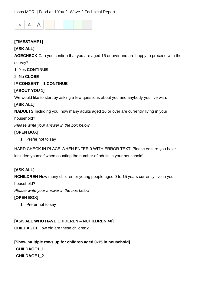

#### **[TIMESTAMP1]**

#### **[ASK ALL]**

**AGECHECK** Can you confirm that you are aged 16 or over and are happy to proceed with the survey?

1. Yes **CONTINUE**

2. No **CLOSE**

#### **IF CONSENT = 1 CONTINUE**

#### **[ABOUT YOU 1]**

We would like to start by asking a few questions about you and anybody you live with.

#### **[ASK ALL]**

**NADULTS** Including you, how many adults aged 16 or over are currently living in your

household?

*Please write your answer in the box below*

#### **[OPEN BOX]**

1. Prefer not to say

HARD CHECK IN PLACE WHEN ENTER 0 WITH ERROR TEXT 'Please ensure you have included yourself when counting the number of adults in your household'

#### **[ASK ALL]**

**NCHILDREN** How many children or young people aged 0 to 15 years currently live in your

household?

*Please write your answer in the box below*

#### **[OPEN BOX]**

1. Prefer not to say

**[ASK ALL WHO HAVE CHIDLREN – NCHILDREN >0]**

**CHILDAGE1** How old are these children?

**[Show multiple rows up for children aged 0-15 in household] CHILDAGE1\_1 CHILDAGE1\_2**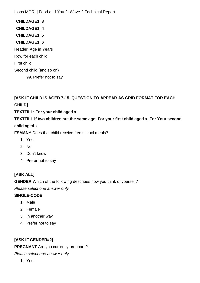**CHILDAGE1\_3 CHILDAGE1\_4 CHILDAGE1\_5 CHILDAGE1\_6** Header: Age in Years Row for each child: First child Second child (and so on)

99. Prefer not to say

**[ASK IF CHILD IS AGED 7-15. QUESTION TO APPEAR AS GRID FORMAT FOR EACH CHILD]**

#### **TEXTFILL: For your child aged x**

**TEXTFILL if two children are the same age: For your first child aged x, For Your second** 

#### **child aged x**

**FSMANY** Does that child receive free school meals?

- 1. Yes
- 2. No
- 3. Don't know
- 4. Prefer not to say

#### **[ASK ALL]**

**GENDER** Which of the following describes how you think of yourself?

*Please select one answer only*

#### **SINGLE-CODE**

- 1. Male
- 2. Female
- 3. In another way
- 4. Prefer not to say

#### **[ASK IF GENDER=2]**

#### **PREGNANT** Are you currently pregnant?

*Please select one answer only*

1. Yes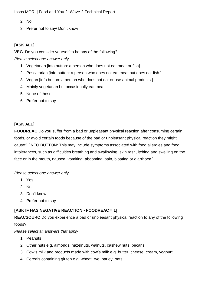- 2. No
- 3. Prefer not to say/ Don't know

#### **[ASK ALL]**

**VEG** Do you consider yourself to be any of the following?

*Please select one answer only*

- 1. Vegetarian [info button: a person who does not eat meat or fish]
- 2. Pescatarian [info button: a person who does not eat meat but does eat fish.]
- 3. Vegan [info button: a person who does not eat or use animal products.]
- 4. Mainly vegetarian but occasionally eat meat
- 5. None of these
- 6. Prefer not to say

#### **[ASK ALL]**

**FOODREAC** Do you suffer from a bad or unpleasant physical reaction after consuming certain foods, or avoid certain foods because of the bad or unpleasant physical reaction they might cause? [INFO BUTTON: This may include symptoms associated with food allergies and food intolerances, such as difficulties breathing and swallowing, skin rash, itching and swelling on the face or in the mouth, nausea, vomiting, abdominal pain, bloating or diarrhoea.]

*Please select one answer only*

- 1. Yes
- 2. No
- 3. Don't know
- 4. Prefer not to say

#### **[ASK IF HAS NEGATIVE REACTION - FOODREAC = 1]**

**REACSOURC** Do you experience a bad or unpleasant physical reaction to any of the following

foods?

*Please select all answers that apply*

- 1. Peanuts
- 2. Other nuts e.g. almonds, hazelnuts, walnuts, cashew nuts, pecans
- 3. Cow's milk and products made with cow's milk e.g. butter, cheese, cream, yoghurt
- 4. Cereals containing gluten e.g. wheat, rye, barley, oats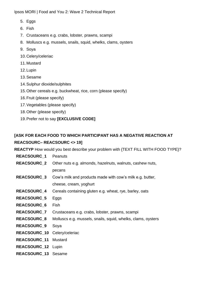- 5. Eggs
- 6. Fish
- 7. Crustaceans e.g. crabs, lobster, prawns, scampi
- 8. Molluscs e.g. mussels, snails, squid, whelks, clams, oysters
- 9. Soya
- 10.Celery/celeriac
- 11.Mustard
- 12.Lupin
- 13.Sesame
- 14.Sulphur dioxide/sulphites
- 15.Other cereals e.g. buckwheat, rice, corn (please specify)
- 16.Fruit (please specify)
- 17.Vegetables (please specify)
- 18.Other (please specify)
- 19.Prefer not to say **[EXCLUSIVE CODE]**

#### **[ASK FOR EACH FOOD TO WHICH PARTICIPANT HAS A NEGATIVE REACTION AT REACSOURC– REACSOURC <> 19]**

**REACTYP** How would you best describe your problem with {TEXT FILL WITH FOOD TYPE}?

| <b>REACSOURC_1</b>  | <b>Peanuts</b>                                               |
|---------------------|--------------------------------------------------------------|
| <b>REACSOURC 2</b>  | Other nuts e.g. almonds, hazelnuts, walnuts, cashew nuts,    |
|                     | pecans                                                       |
| <b>REACSOURC_3</b>  | Cow's milk and products made with cow's milk e.g. butter,    |
|                     | cheese, cream, yoghurt                                       |
| <b>REACSOURC 4</b>  | Cereals containing gluten e.g. wheat, rye, barley, oats      |
| <b>REACSOURC_5</b>  | Eggs                                                         |
| <b>REACSOURC 6</b>  | <b>Fish</b>                                                  |
| <b>REACSOURC_7</b>  | Crustaceans e.g. crabs, lobster, prawns, scampi              |
| <b>REACSOURC_8</b>  | Molluscs e.g. mussels, snails, squid, whelks, clams, oysters |
| REACSOURC_9         | Soya                                                         |
| <b>REACSOURC_10</b> | Celery/celeriac                                              |
| <b>REACSOURC_11</b> | <b>Mustard</b>                                               |
| REACSOURC_12 Lupin  |                                                              |
| <b>REACSOURC_13</b> | Sesame                                                       |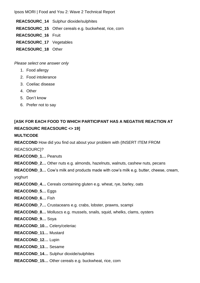**REACSOURC\_14** Sulphur dioxide/sulphites **REACSOURC\_15** Other cereals e.g. buckwheat, rice, corn **REACSOURC\_16** Fruit **REACSOURC\_17** Vegetables **REACSOURC\_18** Other

*Please select one answer only*

- 1. Food allergy
- 2. Food intolerance
- 3. Coeliac disease
- 4. Other
- 5. Don't know
- 6. Prefer not to say

#### **[ASK FOR EACH FOOD TO WHICH PARTICIPANT HAS A NEGATIVE REACTION AT REACSOURC REACSOURC <> 19]**

#### **MULTICODE**

**REACCOND** How did you find out about your problem with {INSERT ITEM FROM

REACSOURC}?

**REACCOND\_1…** Peanuts

**REACCOND\_2…** Other nuts e.g. almonds, hazelnuts, walnuts, cashew nuts, pecans

**REACCOND\_3…** Cow's milk and products made with cow's milk e.g. butter, cheese, cream,

yoghurt

**REACCOND\_4…** Cereals containing gluten e.g. wheat, rye, barley, oats

**REACCOND\_5…** Eggs

**REACCOND\_6…** Fish

**REACCOND\_7…** Crustaceans e.g. crabs, lobster, prawns, scampi

**REACCOND 8...** Molluscs e.g. mussels, snails, squid, whelks, clams, oysters

**REACCOND\_9…** Soya

- **REACCOND\_10…** Celery/celeriac
- **REACCOND\_11…** Mustard
- **REACCOND\_12…** Lupin
- **REACCOND\_13…** Sesame
- **REACCOND\_14…** Sulphur dioxide/sulphites
- **REACCOND\_15…** Other cereals e.g. buckwheat, rice, corn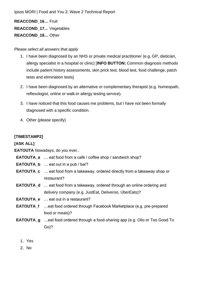**REACCOND\_16…** Fruit **REACCOND\_17…** Vegetables **REACCOND\_18…** Other

#### *Please select all answers that apply*

- 1. I have been diagnosed by an NHS or private medical practitioner (e.g. GP, dietician, allergy specialist in a hospital or clinic) [**INFO BUTTON:** Common diagnosis methods include patient history assessments, skin prick test, blood test, food challenge, patch tests and elimination tests]
- 2. I have been diagnosed by an alternative or complementary therapist (e.g. homeopath, reflexologist, online or walk-in allergy testing service).
- 3. I have noticed that this food causes me problems, but I have not been formally diagnosed with a specific condition.
- 4. Other (please specify)

#### **[TIMESTAMP2]**

**[ASK ALL]**

**EATOUTA** Nowadays, do you ever..

- **EATOUTA\_a** … eat food from a café / coffee shop / sandwich shop?
- **EATOUTA\_b** … eat out in a pub / bar?
- **EATOUTA\_c** … eat food from a takeaway, ordered directly from a takeaway shop or restaurant?
- **EATOUTA\_d** … eat food from a takeaway, ordered through an online ordering and delivery company (e.g. JustEat, Deliveroo, UberEats)?
- **EATOUTA\_e** … eat out in a restaurant?
- **EATOUTA\_f** …eat food ordered through Facebook Marketplace (e.g. pre-prepared food or meals)?
- **EATOUTA\_g** …eat food ordered through a food-sharing app (e.g. Olio or Too Good To Go)?
	- 1. Yes
	- 2. No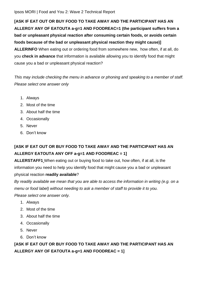**[ASK IF EAT OUT OR BUY FOOD TO TAKE AWAY AND THE PARTICIPANT HAS AN ALLERGY ANY OF EATOUTA a-g=1 AND FOODREAC=1 (the participant suffers from a bad or unpleasant physical reaction after consuming certain foods, or avoids certain foods because of the bad or unpleasant physical reaction they might cause)] ALLERINFO** When eating out or ordering food from somewhere new, how often, if at all, do you **check in advance** that information is available allowing you to identify food that might cause you a bad or unpleasant physical reaction?

*This may include checking the menu in advance or phoning and speaking to a member of staff. Please select one answer only* 

- 1. Always
- 2. Most of the time
- 3. About half the time
- 4. Occasionally
- 5. Never
- 6. Don't know

#### **[ASK IF EAT OUT OR BUY FOOD TO TAKE AWAY AND THE PARTICIPANT HAS AN ALLERGY EATOUTA ANY OFF a-g=1 AND FOODREAC = 1]**

**ALLERSTAFF1** When eating out or buying food to take out, how often, if at all, is the information you need to help you identify food that might cause you a bad or unpleasant physical reaction **readily available**?

*By readily available we mean that you are able to access the information in writing (e.g. on a menu or food label) without needing to ask a member of staff to provide it to you. Please select one answer only.*

- 1. Always
- 2. Most of the time
- 3. About half the time
- 4. Occasionally
- 5. Never
- 6. Don't know

**[ASK IF EAT OUT OR BUY FOOD TO TAKE AWAY AND THE PARTICIPANT HAS AN ALLERGY ANY OF EATOUTA a-g=1 AND FOODREAC = 1]**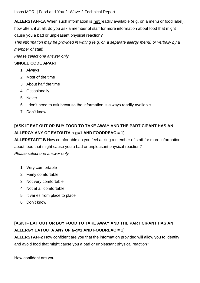**ALLERSTAFF1A** When such information is **not** readily available (e.g. on a menu or food label), how often, if at all, do you ask a member of staff for more information about food that might cause you a bad or unpleasant physical reaction?

*This information may be provided in writing (e.g. on a separate allergy menu) or verbally by a member of staff.* 

*Please select one answer only* 

#### **SINGLE CODE APART**

- 1. Always
- 2. Most of the time
- 3. About half the time
- 4. Occasionally
- 5. Never
- 6. I don't need to ask because the information is always readily available
- 7. Don't know

#### **[ASK IF EAT OUT OR BUY FOOD TO TAKE AWAY AND THE PARTICIPANT HAS AN ALLERGY ANY OF EATOUTA a-g=1 AND FOODREAC = 1]**

**ALLERSTAFF1B** How comfortable do you feel asking a member of staff for more information

about food that might cause you a bad or unpleasant physical reaction?

*Please select one answer only*

- 1. Very comfortable
- 2. Fairly comfortable
- 3. Not very comfortable
- 4. Not at all comfortable
- 5. It varies from place to place
- 6. Don't know

#### **[ASK IF EAT OUT OR BUY FOOD TO TAKE AWAY AND THE PARTICIPANT HAS AN ALLERGY EATOUTA ANY OF a-g=1 AND FOODREAC = 1]**

**ALLERSTAFF2** How confident are you that the information provided will allow you to identify and avoid food that might cause you a bad or unpleasant physical reaction?

How confident are you…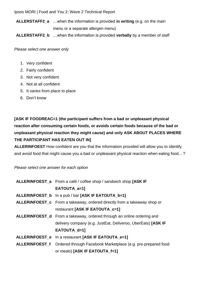**ALLERSTAFF2\_a** …when the information is provided **in writing** (e.g. on the main menu or a separate allergen menu)

**ALLERSTAFF2\_b** …when the information is provided **verbally** by a member of staff

*Please select one answer only* 

- 1. Very confident
- 2. Fairly confident
- 3. Not very confident
- 4. Not at all confident
- 5. It varies from place to place
- 6. Don't know

**[ASK IF FOODREAC=1 (the participant suffers from a bad or unpleasant physical reaction after consuming certain foods, or avoids certain foods because of the bad or unpleasant physical reaction they might cause) and only ASK ABOUT PLACES WHERE THE PARTICIPANT HAS EATEN OUT IN]**

**ALLERINFOEST** How confident are you that the information provided will allow you to identify and avoid food that might cause you a bad or unpleasant physical reaction when eating food... ?

*Please select one answer for each option*

| ALLERINFOEST_a From a café / coffee shop / sandwich shop [ASK IF                |  |
|---------------------------------------------------------------------------------|--|
| EATOUTA_a=1]                                                                    |  |
| ALLERINFOEST_b In a pub / bar [ASK IF EATOUTA_b=1]                              |  |
| <b>ALLERINFOEST_c</b> From a takeaway, ordered directly from a takeaway shop or |  |
| restaurant [ASK IF EATOUTA_c=1]                                                 |  |
| ALLERINFOEST_d From a takeaway, ordered through an online ordering and          |  |
| delivery company (e.g. JustEat, Deliveroo, UberEats) [ASK IF                    |  |
| EATOUTA_d=1]                                                                    |  |
| ALLERINFOEST_e In a restaurant [ASK IF EATOUTA_e=1]                             |  |
| ALLERINFOEST_f Ordered through Facebook Marketplace (e.g. pre-prepared food     |  |
| or meals) [ASK IF EATOUTA f=1]                                                  |  |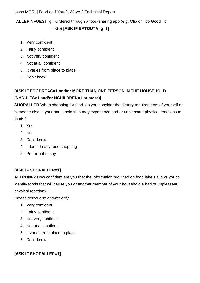#### **ALLERINFOEST\_g** Ordered through a food-sharing app (e.g. Olio or Too Good To Go) **[ASK IF EATOUTA\_g=1]**

- 1. Very confident
- 2. Fairly confident
- 3. Not very confident
- 4. Not at all confident
- 5. It varies from place to place
- 6. Don't know

#### **[ASK IF FOODREAC=1 and/or MORE THAN ONE PERSON IN THE HOUSEHOLD (NADULTS>1 and/or NCHILDREN=1 or more)]**

**SHOPALLER** When shopping for food, do you consider the dietary requirements of yourself or someone else in your household who may experience bad or unpleasant physical reactions to foods?

- 1. Yes
- 2. No
- 3. Don't know
- 4. I don't do any food shopping
- 5. Prefer not to say

#### **[ASK IF SHOPALLER=1]**

**ALLCONF2** How confident are you that the information provided on food labels allows you to identify foods that will cause you or another member of your household a bad or unpleasant physical reaction?

*Please select one answer only*

- 1. Very confident
- 2. Fairly confident
- 3. Not very confident
- 4. Not at all confident
- 5. It varies from place to place
- 6. Don't know

#### **[ASK IF SHOPALLER=1]**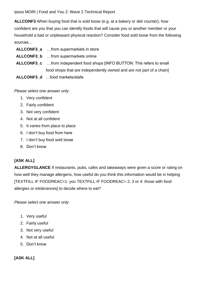**ALLCONF3** When buying food that is sold loose (e.g. at a bakery or deli counter), how confident are you that you can identify foods that will cause you or another member or your household a bad or unpleasant physical reaction? Consider food sold loose from the following sources…

- **ALLCONF3\_a** …from supermarkets in store
- **ALLCONF3\_b** …from supermarkets online
- **ALLCONF3\_c** …from independent food shops [INFO BUTTON: This refers to small food shops that are independently owned and are not part of a chain]
- **ALLCONF3\_d** …food markets/stalls

*Please select one answer only*

- 1. Very confident
- 2. Fairly confident
- 3. Not very confident
- 4. Not at all confident
- 5. It varies from place to place
- 6. I don't buy food from here
- 7. I don't buy food sold loose
- 8. Don't know

#### **[ASK ALL]**

**ALLERGYGLANCE** If restaurants, pubs, cafes and takeaways were given a score or rating on how well they manage allergens, how useful do you think this information would be in helping [TEXTFILL IF FOODREAC=1: you TEXTFILL IF FOODREAC= 2, 3 or 4: those with food allergies or intolerances] to decide where to eat?

*Please select one answer only*

- 1. Very useful
- 2. Fairly useful
- 3. Not very useful
- 4. Not at all useful
- 5. Don't know

#### **[ASK ALL]**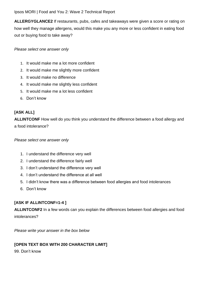**ALLERGYGLANCE2** If restaurants, pubs, cafes and takeaways were given a score or rating on how well they manage allergens, would this make you any more or less confident in eating food out or buying food to take away?

*Please select one answer only*

- 1. It would make me a lot more confident
- 2. It would make me slightly more confident
- 3. It would make no difference
- 4. It would make me slightly less confident
- 5. It would make me a lot less confident
- 6. Don't know

#### **[ASK ALL]**

**ALLINTCONF** How well do you think you understand the difference between a food allergy and a food intolerance?

*Please select one answer only* 

- 1. I understand the difference very well
- 2. I understand the difference fairly well
- 3. I don't understand the difference very well
- 4. I don't understand the difference at all well
- 5. I didn't know there was a difference between food allergies and food intolerances
- 6. Don't know

#### **[ASK IF ALLINTCONF=1-4 ]**

**ALLINTCONF2** In a few words can you explain the differences between food allergies and food intolerances?

*Please write your answer in the box below* 

#### **[OPEN TEXT BOX WITH 200 CHARACTER LIMIT]**

99. Don't know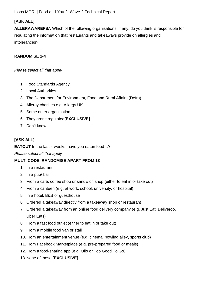#### **[ASK ALL]**

**ALLERAWAREFSA** Which of the following organisations, if any, do you think is responsible for regulating the information that restaurants and takeaways provide on allergies and intolerances?

#### **RANDOMISE 1-4**

*Please select all that apply*

- 1. Food Standards Agency
- 2. Local Authorities
- 3. The Department for Environment, Food and Rural Affairs (Defra)
- 4. Allergy charities e.g. Allergy UK
- 5. Some other organisation
- 6. They aren't regulated**[EXCLUSIVE]**
- 7. Don't know

#### **[ASK ALL]**

**EATOUT** In the last 4 weeks, have you eaten food…?

#### *Please select all that apply*

#### **MULTI CODE. RANDOMISE APART FROM 13**

- 1. In a restaurant
- 2. In a pub/ bar
- 3. From a café, coffee shop or sandwich shop (either to eat in or take out)
- 4. From a canteen (e.g. at work, school, university, or hospital)
- 5. In a hotel, B&B or guesthouse
- 6. Ordered a takeaway directly from a takeaway shop or restaurant
- 7. Ordered a takeaway from an online food delivery company (e.g. Just Eat, Deliveroo, Uber Eats)
- 8. From a fast food outlet (either to eat in or take out)
- 9. From a mobile food van or stall
- 10.From an entertainment venue (e.g. cinema, bowling alley, sports club)
- 11.From Facebook Marketplace (e.g. pre-prepared food or meals)
- 12.From a food-sharing app (e.g. Olio or Too Good To Go)
- 13.None of these **[EXCLUSIVE]**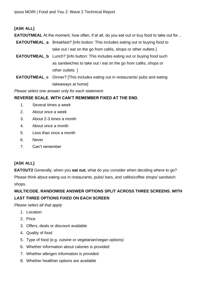## **[ASK ALL]**

**EATOUTMEAL** At the moment, how often, if at all, do you eat out or buy food to take out for...

- **EATOUTMEAL\_a** Breakfast? [info button: This includes eating out or buying food to take out / eat on the go from cafés, shops or other outlets ]
- **EATOUTMEAL\_b** Lunch? [info button: This includes eating out or buying food such as sandwiches to take out / eat on the go from cafés, shops or other outlets ]
- **EATOUTMEAL\_c** Dinner? [This includes eating out in restaurants/ pubs and eating takeaways at home]

*Please select one answer only for each statement*

### **REVERSE SCALE. WITH CAN'T REMEMBER FIXED AT THE END.**

- 1. Several times a week
- 2. About once a week
- 3. About 2-3 times a month
- 4. About once a month
- 5. Less than once a month
- 6. Never
- 7. Can't remember

## **[ASK ALL]**

**EATOUT2** Generally, when you **eat out,** what do you consider when deciding where to go? Please think about eating out in restaurants, pubs/ bars, and cafés/coffee shops/ sandwich shops.

## **MULTICODE. RANDOMISE ANSWER OPTIONS SPLIT ACROSS THREE SCREENS. WITH LAST THREE OPTIONS FIXED ON EACH SCREEN**

*Please select all that apply*

- 1. Location
- 2. Price
- 3. Offers, deals or discount available
- 4. Quality of food
- 5. Type of food (e.g. cuisine or vegetarian/vegan options)
- 6. Whether information about calories is provided
- 7. Whether allergen information is provided
- 8. Whether healthier options are available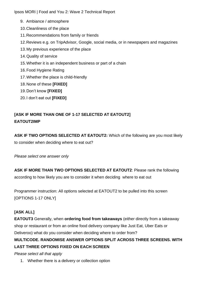- 9. Ambiance / atmosphere
- 10.Cleanliness of the place
- 11.Recommendations from family or friends
- 12.Reviews e.g. on TripAdvisor, Google, social media, or in newspapers and magazines
- 13.My previous experience of the place
- 14.Quality of service
- 15.Whether it is an independent business or part of a chain
- 16.Food Hygiene Rating
- 17.Whether the place is child-friendly
- 18.None of these **[FIXED]**
- 19.Don't know **[FIXED]**
- 20.I don't eat out **[FIXED]**

# **[ASK IF MORE THAN ONE OF 1-17 SELECTED AT EATOUT2] EATOUT2IMP**

**ASK IF TWO OPTIONS SELECTED AT EATOUT2:** Which of the following are you most likely to consider when deciding where to eat out?

*Please select one answer only*

**ASK IF MORE THAN TWO OPTIONS SELECTED AT EATOUT2**: Please rank the following according to how likely you are to consider it when deciding where to eat out

Programmer instruction: All options selected at EATOUT2 to be pulled into this screen [OPTIONS 1-17 ONLY]

# **[ASK ALL]**

**EATOUT3** Generally, when **ordering food from takeaways** (either directly from a takeaway shop or restaurant or from an online food delivery company like Just Eat, Uber Eats or Deliveroo) what do you consider when deciding where to order from?

# **MULTICODE. RANDOMISE ANSWER OPTIONS SPLIT ACROSS THREE SCREENS. WITH LAST THREE OPTIONS FIXED ON EACH SCREEN**

## *Please select all that apply*

1. Whether there is a delivery or collection option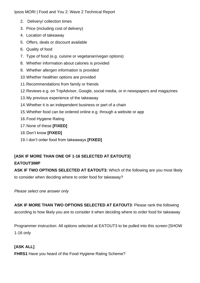- 2. Delivery/ collection times
- 3. Price (including cost of delivery)
- 4. Location of takeaway
- 5. Offers, deals or discount available
- 6. Quality of food
- 7. Type of food (e.g. cuisine or vegetarian/vegan options)
- 8. Whether information about calories is provided
- 9. Whether allergen information is provided
- 10.Whether healthier options are provided
- 11.Recommendations from family or friends
- 12.Reviews e.g. on TripAdvisor, Google, social media, or in newspapers and magazines
- 13.My previous experience of the takeaway
- 14.Whether it is an independent business or part of a chain
- 15.Whether food can be ordered online e.g. through a website or app
- 16.Food Hygiene Rating
- 17.None of these **[FIXED]**
- 18.Don't know **[FIXED]**
- 19.I don't order food from takeaways **[FIXED]**

# **[ASK IF MORE THAN ONE OF 1-16 SELECTED AT EATOUT3] EATOUT3IMP**

**ASK IF TWO OPTIONS SELECTED AT EATOUT3:** Which of the following are you most likely to consider when deciding where to order food for takeaway?

*Please select one answer only*

**ASK IF MORE THAN TWO OPTIONS SELECTED AT EATOUT3**: Please rank the following according to how likely you are to consider it when deciding where to order food for takeaway

Programmer instruction: All options selected at EATOUT3 to be pulled into this screen [SHOW 1-16 only

## **[ASK ALL]**

**FHRS1** Have you heard of the Food Hygiene Rating Scheme?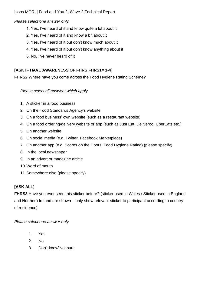*Please select one answer only*

- 1. Yes, I've heard of it and know quite a lot about it
- 2. Yes, I've heard of it and know a bit about it
- 3. Yes, I've heard of it but don't know much about it
- 4. Yes, I've heard of it but don't know anything about it
- 5. No, I've never heard of it

## **[ASK IF HAVE AWARENESS OF FHRS FHRS1= 1-4]**

**FHRS2** Where have you come across the Food Hygiene Rating Scheme?

*Please select all answers which apply*

- 1. A sticker in a food business
- 2. On the Food Standards Agency's website
- 3. On a food business' own website (such as a restaurant website)
- 4. On a food ordering/delivery website or app (such as Just Eat, Deliveroo, UberEats etc.)
- 5. On another website
- 6. On social media (e.g. Twitter, Facebook Marketplace)
- 7. On another app (e.g. Scores on the Doors; Food Hygiene Rating) (please specify)
- 8. In the local newspaper
- 9. In an advert or magazine article
- 10.Word of mouth
- 11.Somewhere else (please specify)

## **[ASK ALL]**

**FHRS3** Have you ever seen this sticker before? (sticker used in Wales / Sticker used in England and Northern Ireland are shown – only show relevant sticker to participant according to country of residence)

- 1. Yes
- 2. No
- 3. Don't know\Not sure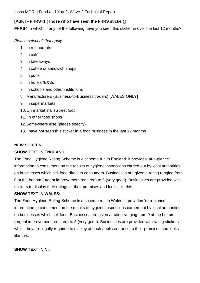### **[ASK IF FHRS=1 (Those who have seen the FHRS sticker)]**

**FHRS4** In which, if any, of the following have you seen this sticker in over the last 12 months?

*Please select all that apply*

- 1. In restaurants
- 2. In cafés
- 3. In takeaways
- 4. In coffee or sandwich shops
- 5. In pubs
- 6. In hotels /B&Bs
- 7. In schools and other institutions
- 8. Manufacturers (Business-to-Business traders) [WALES ONLY]
- 9. In supermarkets
- 10.On market stalls\street food
- 11. In other food shops
- 12.Somewhere else (please specify)
- 13.I have not seen this sticker in a food business in the last 12 months

## **NEW SCREEN**

## **SHOW TEXT IN ENGLAND:**

The Food Hygiene Rating Scheme is a scheme run in England. It provides 'at-a-glance' information to consumers on the results of hygiene inspections carried out by local authorities on businesses which sell food direct to consumers. Businesses are given a rating ranging from 0 at the bottom (urgent improvement required) to 5 (very good). Businesses are provided with stickers to display their ratings at their premises and looks like this:

## **SHOW TEXT IN WALES:**

The Food Hygiene Rating Scheme is a scheme run in Wales. It provides 'at-a-glance' information to consumers on the results of hygiene inspections carried out by local authorities on businesses which sell food. Businesses are given a rating ranging from 0 at the bottom (urgent improvement required) to 5 (very good). Businesses are provided with rating stickers which they are legally required to display at each public entrance to their premises and looks like this:

#### **SHOW TEXT IN NI:**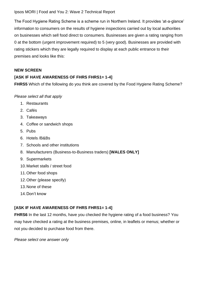The Food Hygiene Rating Scheme is a scheme run in Northern Ireland. It provides 'at-a-glance' information to consumers on the results of hygiene inspections carried out by local authorities on businesses which sell food direct to consumers. Businesses are given a rating ranging from 0 at the bottom (urgent improvement required) to 5 (very good). Businesses are provided with rating stickers which they are legally required to display at each public entrance to their premises and looks like this:

#### **NEW SCREEN**

### **[ASK IF HAVE AWARENESS OF FHRS FHRS1= 1-4]**

**FHRS5** Which of the following do you think are covered by the Food Hygiene Rating Scheme?

*Please select all that apply*

- 1. Restaurants
- 2. Cafés
- 3. Takeaways
- 4. Coffee or sandwich shops
- 5. Pubs
- 6. Hotels /B&Bs
- 7. Schools and other institutions
- 8. Manufacturers (Business-to-Business traders) **[WALES ONLY]**
- 9. Supermarkets
- 10.Market stalls / street food
- 11.Other food shops
- 12.Other (please specify)
- 13.None of these
- 14.Don't know

## **[ASK IF HAVE AWARENESS OF FHRS FHRS1= 1-4]**

**FHRS6** In the last 12 months, have you checked the hygiene rating of a food business? You may have checked a rating at the business premises, online, in leaflets or menus; whether or not you decided to purchase food from there.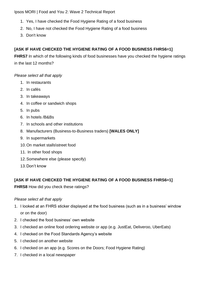- 1. Yes, I have checked the Food Hygiene Rating of a food business
- 2. No, I have not checked the Food Hygiene Rating of a food business
- 3. Don't know

## **[ASK IF HAVE CHECKED THE HYGIENE RATING OF A FOOD BUSINESS FHRS6=1]**

**FHRS7** In which of the following kinds of food businesses have you checked the hygiene ratings in the last 12 months?

*Please select all that apply*

- 1. In restaurants
- 2. In cafés
- 3. In takeaways
- 4. In coffee or sandwich shops
- 5. In pubs
- 6. In hotels /B&Bs
- 7. In schools and other institutions
- 8. Manufacturers (Business-to-Business traders) **[WALES ONLY]**
- 9. In supermarkets
- 10.On market stalls\street food
- 11. In other food shops
- 12.Somewhere else (please specify)
- 13.Don't know

## **[ASK IF HAVE CHECKED THE HYGIENE RATING OF A FOOD BUSINESS FHRS6=1]**

**FHRS8** How did you check these ratings?

#### *Please select all that apply*

- 1. I looked at an FHRS sticker displayed at the food business (such as in a business' window or on the door)
- 2. I checked the food business' own website
- 3. I checked an online food ordering website or app (e.g. JustEat, Deliveroo, UberEats)
- 4. I checked on the Food Standards Agency's website
- 5. I checked on another website
- 6. I checked on an app (e.g. Scores on the Doors; Food Hygiene Rating)
- 7. I checked in a local newspaper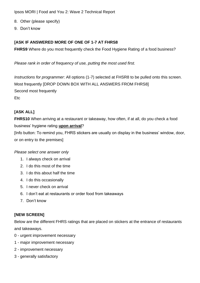- 8. Other (please specify)
- 9. Don't know

### **[ASK IF ANSWERED MORE OF ONE OF 1-7 AT FHRS8**

**FHRS9** Where do you most frequently check the Food Hygiene Rating of a food business?

*Please rank in order of frequency of use, putting the most used first.* 

*Instructions for programmer*: All options (1-7) selected at FHSR8 to be pulled onto this screen. Most frequently [DROP DOWN BOX WITH ALL ANSWERS FROM FHRS8] Second most frequently Etc

## **[ASK ALL]**

**FHRS10** When arriving at a restaurant or takeaway, how often, if at all, do you check a food business' hygiene rating **upon arrival**?

[Info button: To remind you, FHRS stickers are usually on display in the business' window, door, or on entry to the premises]

#### *Please select one answer only*

- 1. I always check on arrival
- 2. I do this most of the time
- 3. I do this about half the time
- 4. I do this occasionally
- 5. I never check on arrival
- 6. I don't eat at restaurants or order food from takeaways
- 7. Don't know

## **[NEW SCREEN]**

Below are the different FHRS ratings that are placed on stickers at the entrance of restaurants and takeaways.

- 0 urgent improvement necessary
- 1 major improvement necessary
- 2 improvement necessary
- 3 generally satisfactory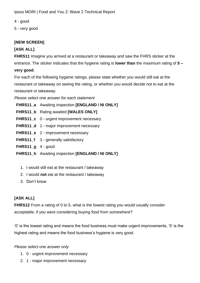4 - good

5 - very good

## **[NEW SCREEN]**

## **[ASK ALL]**

**FHRS11** Imagine you arrived at a restaurant or takeaway and saw the FHRS sticker at the entrance. The sticker indicates that the hygiene rating is **lower than** the maximum rating of **5 – very good**.

For each of the following hygiene ratings, please state whether you would still eat at the restaurant or takeaway on seeing the rating, or whether you would decide not to eat at the restaurant or takeaway.

*Please select one answer for each statement*

**FHRS11\_a** Awaiting inspection **[ENGLAND / NI ONLY]**

- **FHRS11\_b** Rating awaited **[WALES ONLY]**
- **FHRS11\_c** 0 urgent improvement necessary
- **FHRS11\_d** 1 major improvement necessary
- **FHRS11\_e** 2 improvement necessary
- **FHRS11\_f** 3 generally satisfactory
- **FHRS11\_g** 4 good
- **FHRS11\_h** Awaiting inspection **[ENGLAND / NI ONLY]**
	- 1. I would still eat at the restaurant / takeaway
	- 2. I would **not** eat at the restaurant / takeaway
	- 3. Don't know

## **[ASK ALL]**

**FHRS12** From a rating of 0 to 5, what is the lowest rating you would usually consider acceptable, if you were considering buying food from somewhere?

'0' is the lowest rating and means the food business must make urgent improvements, '5' is the highest rating and means the food business's hygiene is very good.

- 1. 0 urgent improvement necessary
- 2. 1 major improvement necessary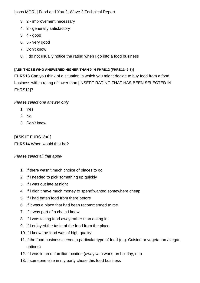- 3. 2 improvement necessary
- 4. 3 generally satisfactory
- 5. 4 good
- 6. 5 very good
- 7. Don't know
- 8. I do not usually notice the rating when I go into a food business

### **[ASK THOSE WHO ANSWERED HIGHER THAN 0 IN FHRS12 (FHRS11=2-6)]**

**FHRS13** Can you think of a situation in which you might decide to buy food from a food business with a rating of lower than [INSERT RATING THAT HAS BEEN SELECTED IN FHRS12]?

### *Please select one answer only*

- 1. Yes
- 2. No
- 3. Don't know

## **[ASK IF FHRS13=1]**

**FHRS14** When would that be?

#### *Please select all that apply*

- 1. If there wasn't much choice of places to go
- 2. If I needed to pick something up quickly
- 3. If I was out late at night
- 4. If I didn't have much money to spend\wanted somewhere cheap
- 5. If I had eaten food from there before
- 6. If it was a place that had been recommended to me
- 7. If it was part of a chain I knew
- 8. If I was taking food away rather than eating in
- 9. If I enjoyed the taste of the food from the place
- 10.If I knew the food was of high quality
- 11.If the food business served a particular type of food (e.g. Cuisine or vegetarian / vegan options)
- 12.If I was in an unfamiliar location (away with work, on holiday, etc)
- 13.If someone else in my party chose this food business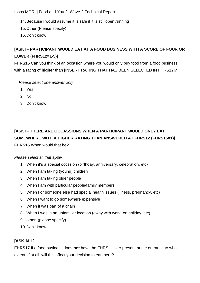- 14.Because I would assume it is safe if it is still open\running
- 15.Other (Please specify)
- 16.Don't know

# **[ASK IF PARTICIPANT WOULD EAT AT A FOOD BUSINESS WITH A SCORE OF FOUR OR LOWER (FHRS12=1-5)]**

**FHRS15** Can you think of an occasion where you would only buy food from a food business with a rating of **higher** than [INSERT RATING THAT HAS BEEN SELECTED IN FHRS12]?

*Please select one answer only*

- 1. Yes
- 2. No
- 3. Don't know

# **[ASK IF THERE ARE OCCASSIONS WHEN A PARTICIPANT WOULD ONLY EAT SOMEWHERE WITH A HIGHER RATING THAN ANSWERED AT FHRS12 (FHRS15=1)] FHRS16** When would that be?

#### *Please select all that apply*

- 1. When it's a special occasion (birthday, anniversary, celebration, etc)
- 2. When I am taking (young) children
- 3. When I am taking older people
- 4. When I am with particular people/family members
- 5. When I or someone else had special health issues (illness, pregnancy, etc)
- 6. When I want to go somewhere expensive
- 7. When it was part of a chain
- 8. When I was in an unfamiliar location (away with work, on holiday, etc)
- 9. other, (please specify)
- 10.Don't know

## **[ASK ALL]**

**FHRS17** If a food business does **not** have the FHRS sticker present at the entrance to what extent, if at all, will this affect your decision to eat there?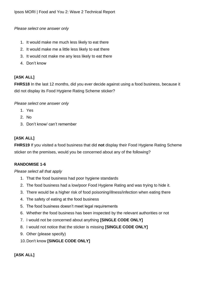*Please select one answer only*

- 1. It would make me much less likely to eat there
- 2. It would make me a little less likely to eat there
- 3. It would not make me any less likely to eat there
- 4. Don't know

## **[ASK ALL]**

**FHRS18** In the last 12 months, did you ever decide against using a food business, because it did not display its Food Hygiene Rating Scheme sticker?

*Please select one answer only*

- 1. Yes
- 2. No
- 3. Don't know/ can't remember

## **[ASK ALL]**

**FHRS19** If you visited a food business that did **not** display their Food Hygiene Rating Scheme sticker on the premises, would you be concerned about any of the following?

## **RANDOMISE 1-6**

#### *Please select all that apply*

- 1. That the food business had poor hygiene standards
- 2. The food business had a low/poor Food Hygiene Rating and was trying to hide it.
- 3. There would be a higher risk of food poisoning/illness/infection when eating there
- 4. The safety of eating at the food business
- 5. The food business doesn't meet legal requirements
- 6. Whether the food business has been inspected by the relevant authorities or not
- 7. I would not be concerned about anything **[SINGLE CODE ONLY]**
- 8. I would not notice that the sticker is missing **[SINGLE CODE ONLY]**
- 9. Other (please specify)
- 10.Don't know **[SINGLE CODE ONLY]**

## **[ASK ALL]**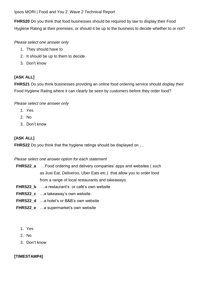**FHRS20** Do you think that food businesses should be required by law to display their Food Hygiene Rating at their premises, or should it be up to the business to decide whether to or not?

*Please select one answer only*

- 1. They should have to
- 2. It should be up to them to decide
- 3. Don't know

## **[ASK ALL]**

**FHRS21** Do you think businesses providing an online food ordering service should display their Food Hygiene Rating where it can clearly be seen by customers before they order food?

### *Please select one answer only*

- 1. Yes
- 2. No
- 3. Don't know

## **[ASK ALL]**

**FHRS22** Do you think that the hygiene ratings should be displayed on …

#### *Please select one answer option for each statement*

- **FHRS22\_a** …Food ordering and delivery companies' apps and websites ( such as Just Eat, Deliveroo, Uber Eats etc.) that allow you to order food from a range of local restaurants and takeaways
- **FHRS22\_b** …a restaurant's or café's own website
- **FHRS22\_c** …a takeaway's own website
- **FHRS22\_d** …a hotel's or B&B's own website
- **FHRS22 e** …a supermarket's own website
	- 1. Yes
	- 2. No
	- 3. Don't know

## **[TIMESTAMP4]**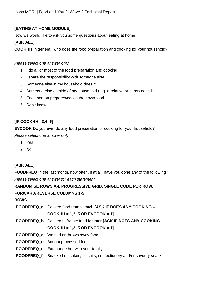### **[EATING AT HOME MODULE]**

Now we would like to ask you some questions about eating at home

#### **[ASK ALL]**

**COOKHH** In general, who does the food preparation and cooking for your household?

#### *Please select one answer only*

- 1. I do all or most of the food preparation and cooking
- 2. I share the responsibility with someone else
- 3. Someone else in my household does it
- 4. Someone else outside of my household (e.g. a relative or carer) does it
- 5. Each person prepares/cooks their own food
- 6. Don't know

#### **[IF COOKHH =3,4, 6]**

**EVCOOK** Do you ever do any food preparation or cooking for your household?

*Please select one answer only*

- 1. Yes
- 2. No

#### **[ASK ALL]**

**FOODFREQ** In the last month, how often, if at all, have you done any of the following? *Please select one answer for each statement.*

#### **RANDOMISE ROWS A-I. PROGRESSIVE GRID. SINGLE CODE PER ROW.**

#### **FORWARD/REVERSE COLUMNS 1-5**

#### **ROWS**

| FOODFREQ a Cooked food from scratch [ASK IF DOES ANY COOKING -                    |
|-----------------------------------------------------------------------------------|
| $COOKHH = 1,2, 5 OR EVCOOK = 1$                                                   |
| FOODFREQ b Cooked to freeze food for later [ASK IF DOES ANY COOKING -             |
| $COOKHH = 1,2, 5 OR EVCOOK = 1$                                                   |
| <b>FOODFREQ_c</b> Wasted or thrown away food                                      |
| <b>FOODFREQ_d</b> Bought processed food                                           |
| <b>FOODFREQ e</b> Eaten together with your family                                 |
| <b>FOODFREQ f</b> Snacked on cakes, biscuits, confectionery and/or savoury snacks |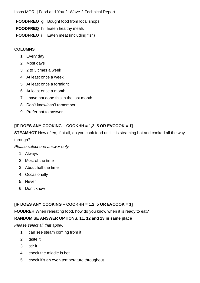- **FOODFREQ\_g** Bought food from local shops
- **FOODFREQ\_h** Eaten healthy meals
- **FOODFREQ\_i** Eaten meat (including fish)

#### **COLUMNS**

- 1. Every day
- 2. Most days
- 3. 2 to 3 times a week
- 4. At least once a week
- 5. At least once a fortnight
- 6. At least once a month
- 7. I have not done this in the last month
- 8. Don't know/can't remember
- 9. Prefer not to answer

## **[IF DOES ANY COOKING – COOKHH = 1,2, 5 OR EVCOOK = 1]**

**STEAMHOT** How often, if at all, do you cook food until it is steaming hot and cooked all the way

through?

*Please select one answer only*

- 1. Always
- 2. Most of the time
- 3. About half the time
- 4. Occasionally
- 5. Never
- 6. Don't know

## **[IF DOES ANY COOKING – COOKHH = 1,2, 5 OR EVCOOK = 1]**

**FOODREH** When reheating food, how do you know when it is ready to eat?

## **RANDOMISE ANSWER OPTIONS. 11, 12 and 13 in same place**

*Please select all that apply.*

- 1. I can see steam coming from it
- 2. I taste it
- 3. I stir it
- 4. I check the middle is hot
- 5. I check it's an even temperature throughout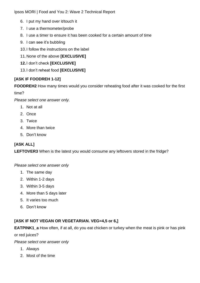- 6. I put my hand over it/touch it
- 7. I use a thermometer/probe
- 8. I use a timer to ensure it has been cooked for a certain amount of time
- 9. I can see it's bubbling
- 10.I follow the instructions on the label
- 11.None of the above **[EXCLUSIVE]**
- **12.**I don't check **[EXCLUSIVE]**
- 13.I don't reheat food **[EXCLUSIVE]**

## **[ASK IF FOODREH 1-12]**

**FOODREH2** How many times would you consider reheating food after it was cooked for the first

time?

*Please select one answer only.*

- 1. Not at all
- 2. Once
- 3. Twice
- 4. More than twice
- 5. Don't know

## **[ASK ALL]**

**LEFTOVER3** When is the latest you would consume any leftovers stored in the fridge?

#### *Please select one answer only*

- 1. The same day
- 2. Within 1-2 days
- 3. Within 3-5 days
- 4. More than 5 days later
- 5. It varies too much
- 6. Don't know

## **[ASK IF NOT VEGAN OR VEGETARIAN. VEG=4,5 or 6,]**

**EATPINK1\_a** How often, if at all, do you eat chicken or turkey when the meat is pink or has pink

or red juices?

- 1. Always
- 2. Most of the time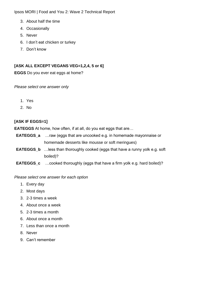- 3. About half the time
- 4. Occasionally
- 5. Never
- 6. I don't eat chicken or turkey
- 7. Don't know

#### **[ASK ALL EXCEPT VEGANS VEG=1,2,4, 5 or 6]**

**EGGS** Do you ever eat eggs at home?

*Please select one answer only* 

- 1. Yes
- 2. No

### **[ASK IF EGGS=1]**

**EATEGGS** At home, how often, if at all, do you eat eggs that are…

- **EATEGGS\_a** …raw (eggs that are uncooked e.g. in homemade mayonnaise or homemade desserts like mousse or soft meringues)
- **EATEGGS\_b** …less than thoroughly cooked (eggs that have a runny yolk e.g. soft boiled)?
- **EATEGGS\_c** …cooked thoroughly (eggs that have a firm yolk e.g. hard boiled)?

*Please select one answer for each option*

- 1. Every day
- 2. Most days
- 3. 2-3 times a week
- 4. About once a week
- 5. 2-3 times a month
- 6. About once a month
- 7. Less than once a month
- 8. Never
- 9. Can't remember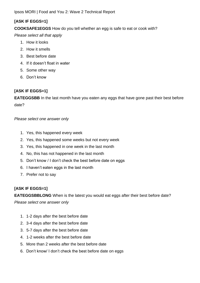## **[ASK IF EGGS=1]**

**COOKSAFE1EGGS** How do you tell whether an egg is safe to eat or cook with?

*Please select all that apply*

- 1. How it looks
- 2. How it smells
- 3. Best before date
- 4. If it doesn't float in water
- 5. Some other way
- 6. Don't know

## **[ASK IF EGGS=1]**

**EATEGGSBB** In the last month have you eaten any eggs that have gone past their best before date?

*Please select one answer only*

- 1. Yes, this happened every week
- 2. Yes, this happened some weeks but not every week
- 3. Yes, this happened in one week in the last month
- 4. No, this has not happened in the last month
- 5. Don't know / I don't check the best before date on eggs
- 6. I haven't eaten eggs in the last month
- 7. Prefer not to say

## **[ASK IF EGGS=1]**

**EATEGGSBBLONG** When is the latest you would eat eggs after their best before date? *Please select one answer only*

- 1. 1-2 days after the best before date
- 2. 3-4 days after the best before date
- 3. 5-7 days after the best before date
- 4. 1-2 weeks after the best before date
- 5. More than 2 weeks after the best before date
- 6. Don't know/ I don't check the best before date on eggs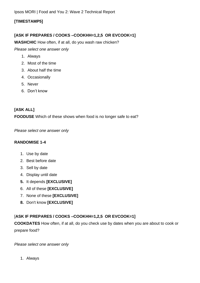#### **[TIMESTAMP5]**

#### **[ASK IF PREPARES / COOKS –COOKHH=1,2,5 OR EVCOOK=1]**

**WASHCHIC** How often, if at all, do you wash raw chicken?

*Please select one answer only*

- 1. Always
- 2. Most of the time
- 3. About half the time
- 4. Occasionally
- 5. Never
- 6. Don't know

## **[ASK ALL]**

**FOODUSE** Which of these shows when food is no longer safe to eat?

*Please select one answer only*

#### **RANDOMISE 1-4**

- 1. Use by date
- 2. Best before date
- 3. Sell by date
- 4. Display until date
- **5.** It depends **[EXCLUSIVE]**
- 6. All of these **[EXCLUSIVE]**
- 7. None of these **[EXCLUSIVE]**
- **8.** Don't know **[EXCLUSIVE]**

## [**ASK IF PREPARES / COOKS –COOKHH=1,2,5 OR EVCOOK=1]**

**COOKDATES** How often, if at all, do you check use by dates when you are about to cook or prepare food?

*Please select one answer only*

1. Always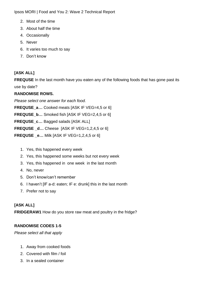- 2. Most of the time
- 3. About half the time
- 4. Occasionally
- 5. Never
- 6. It varies too much to say
- 7. Don't know

# **[ASK ALL]**

**FREQUSE** In the last month have you eaten any of the following foods that has gone past its use by date?

## **RANDOMISE ROWS.**

*Please select one answer for each food.*

**FREQUSE\_a…** Cooked meats [ASK IF VEG=4,5 or 6]

**FREQUSE\_b…** Smoked fish [ASK IF VEG=2,4,5 or 6]

**FREQUSE\_c…** Bagged salads [ASK ALL]

**FREQUSE \_d…** Cheese [ASK IF VEG=1,2,4,5 or 6]

**FREQUSE \_e…** Milk [ASK IF VEG=1,2,4,5 or 6]

- 1. Yes, this happened every week
- 2. Yes, this happened some weeks but not every week
- 3. Yes, this happened in one week in the last month
- 4. No, never
- 5. Don't know/can't remember
- 6. I haven't [IF a-d: eaten; IF e: drunk] this in the last month
- 7. Prefer not to say

# **[ASK ALL]**

**FRIDGERAW1** How do you store raw meat and poultry in the fridge?

# **RANDOMISE CODES 1-5**

*Please select all that apply*

- 1. Away from cooked foods
- 2. Covered with film / foil
- 3. In a sealed container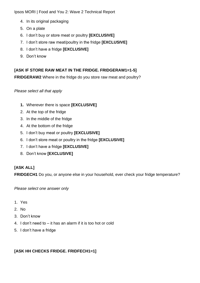- 4. In its original packaging
- 5. On a plate
- 6. I don't buy or store meat or poultry **[EXCLUSIVE]**
- 7. I don't store raw meat/poultry in the fridge **[EXCLUSIVE]**
- 8. I don't have a fridge **[EXCLUSIVE]**
- 9. Don't know

# **[ASK IF STORE RAW MEAT IN THE FRIDGE. FRIDGERAW1=1-5]**

**FRIDGERAW2** Where in the fridge do you store raw meat and poultry?

#### *Please select all that apply*

- **1.** Wherever there is space **[EXCLUSIVE]**
- 2. At the top of the fridge
- 3. In the middle of the fridge
- 4. At the bottom of the fridge
- 5. I don't buy meat or poultry **[EXCLUSIVE]**
- 6. I don't store meat or poultry in the fridge **[EXCLUSIVE]**
- 7. I don't have a fridge **[EXCLUSIVE]**
- 8. Don't know **[EXCLUSIVE]**

## **[ASK ALL]**

**FRIDGECH1** Do you, or anyone else in your household, ever check your fridge temperature?

*Please select one answer only*

- 1. Yes
- 2. No
- 3. Don't know
- 4. I don't need to it has an alarm if it is too hot or cold
- 5. I don't have a fridge

#### **[ASK HH CHECKS FRIDGE. FRIDFECH1=1]**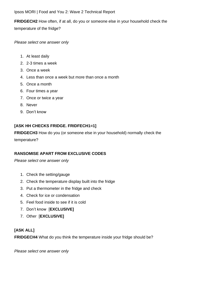**FRIDGECH2** How often, if at all, do you or someone else in your household check the temperature of the fridge?

*Please select one answer only*

- 1. At least daily
- 2. 2-3 times a week
- 3. Once a week
- 4. Less than once a week but more than once a month
- 5. Once a month
- 6. Four times a year
- 7. Once or twice a year
- 8. Never
- 9. Don't know

## **[ASK HH CHECKS FRIDGE. FRIDFECH1=1]**

**FRIDGECH3** How do you (or someone else in your household) normally check the

temperature?

#### **RANSOMISE APART FROM EXCLUSIVE CODES**

*Please select one answer only*

- 1. Check the setting/gauge
- 2. Check the temperature display built into the fridge
- 3. Put a thermometer in the fridge and check
- 4. Check for ice or condensation
- 5. Feel food inside to see if it is cold
- 7. Don't know [**EXCLUSIVE]**
- 7. Other [**EXCLUSIVE]**

#### **[ASK ALL]**

**FRIDGECH4** What do you think the temperature inside your fridge should be?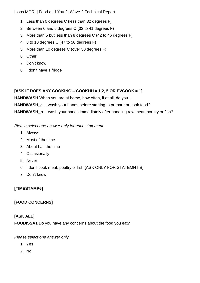- 1. Less than 0 degrees C (less than 32 degrees F)
- 2. Between 0 and 5 degrees C (32 to 41 degrees F)
- 3. More than 5 but less than 8 degrees C (42 to 46 degrees F)
- 4. 8 to 10 degrees C (47 to 50 degrees F)
- 5. More than 10 degrees C (over 50 degrees F)
- 6. Other
- 7. Don't know
- 8. I don't have a fridge

### **[ASK IF DOES ANY COOKING – COOKHH = 1,2, 5 OR EVCOOK = 1]**

**HANDWASH** When you are at home, how often, if at all, do you…

**HANDWASH\_a** …wash your hands before starting to prepare or cook food?

**HANDWASH\_b** …wash your hands immediately after handling raw meat, poultry or fish?

*Please select one answer only for each statement*

- 1. Always
- 2. Most of the time
- 3. About half the time
- 4. Occasionally
- 5. Never
- 6. I don't cook meat, poultry or fish {ASK ONLY FOR STATEMNT B]
- 7. Don't know

## **[TIMESTAMP6]**

## **[FOOD CONCERNS]**

## **[ASK ALL]**

**FOODISSA1** Do you have any concerns about the food you eat?

- 1. Yes
- 2. No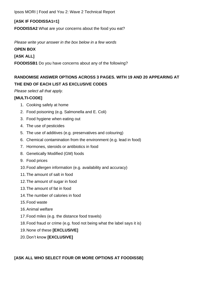### **[ASK IF FOODISSA1=1]**

**FOODISSA2** What are your concerns about the food you eat?

*Please write your answer in the box below in a few words*

#### **OPEN BOX**

#### **[ASK ALL]**

**FOODISSB1** Do you have concerns about any of the following?

# **RANDOMISE ANSWER OPTIONS ACROSS 3 PAGES. WITH 19 AND 20 APPEARING AT THE END OF EACH LIST AS EXCLUSIVE CODES**

#### *Please select all that apply.*

#### **[MULTI-CODE]**

- 1. Cooking safely at home
- 2. Food poisoning (e.g. Salmonella and E. Coli)
- 3. Food hygiene when eating out
- 4. The use of pesticides
- 5. The use of additives (e.g. preservatives and colouring)
- 6. Chemical contamination from the environment (e.g. lead in food)
- 7. Hormones, steroids or antibiotics in food
- 8. Genetically Modified (GM) foods
- 9. Food prices
- 10.Food allergen information (e.g. availability and accuracy)
- 11.The amount of salt in food
- 12.The amount of sugar in food
- 13.The amount of fat in food
- 14.The number of calories in food
- 15.Food waste
- 16.Animal welfare
- 17.Food miles (e.g. the distance food travels)
- 18.Food fraud or crime (e.g. food not being what the label says it is)
- 19.None of these **[EXCLUSIVE]**
- 20.Don't know **[EXCLUSIVE]**

## **[ASK ALL WHO SELECT FOUR OR MORE OPTIONS AT FOODISSB]**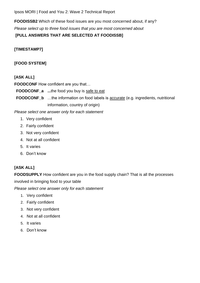**FOODISSB2** Which of these food issues are you most concerned about, if any? *Please select up to three food issues that you are most concerned about*

**[PULL ANSWERS THAT ARE SELECTED AT FOODISSB]**

### **[TIMESTAMP7]**

### **[FOOD SYSTEM]**

#### **[ASK ALL]**

**FOODCONF** How confident are you that…

**FOODCONF\_a ...**the food you buy is safe to eat

**FOODCONF\_b** ...the information on food labels is **accurate** (e.g. ingredients, nutritional information, country of origin)

*Please select one answer only for each statement*

- 1. Very confident
- 2. Fairly confident
- 3. Not very confident
- 4. Not at all confident
- 5. It varies
- 6. Don't know

## **[ASK ALL]**

**FOODSUPPLY** How confident are you in the food supply chain? That is all the processes involved in bringing food to your table

*Please select one answer only for each statement*

- 1. Very confident
- 2. Fairly confident
- 3. Not very confident
- 4. Not at all confident
- 5. It varies
- 6. Don't know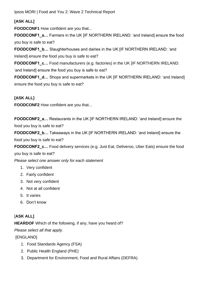## **[ASK ALL]**

**FOODCONF1** How confident are you that...

**FOODCONF1** a... Farmers in the UK [IF NORTHERN IRELAND: 'and Ireland] ensure the food you buy is safe to eat?

**FOODCONF1\_b…** Slaughterhouses and dairies in the UK [IF NORTHERN IRELAND: 'and Ireland] ensure the food you buy is safe to eat?

**FOODCONF1** c... Food manufacturers (e.g. factories) in the UK [IF NORTHERN IRELAND: 'and Ireland] ensure the food you buy is safe to eat?

**FOODCONF1 d...** Shops and supermarkets in the UK [IF NORTHERN IRELAND: 'and Ireland] ensure the food you buy is safe to eat?

## **[ASK ALL]**

**FOODCONF2** How confident are you that...

**FOODCONF2 a...** Restaurants in the UK [IF NORTHERN IRELAND: 'and Ireland] ensure the food you buy is safe to eat?

**FOODCONF2 b...** Takeaways in the UK [IF NORTHERN IRELAND: 'and Ireland] ensure the food you buy is safe to eat?

**FOODCONF2\_c…** Food delivery services (e.g. Just Eat, Deliveroo, Uber Eats) ensure the food you buy is safe to eat?

*Please select one answer only for each statement*

- 1. Very confident
- 2. Fairly confident
- 3. Not very confident
- 4. Not at all confident
- 5. It varies
- 6. Don't know

# [**ASK ALL]**

**HEARDOF** Which of the following, if any, have you heard of?

*Please select all that apply.*

[ENGLAND]

- 1. Food Standards Agency (FSA)
- 2. Public Health England (PHE)
- 3. Department for Environment, Food and Rural Affairs (DEFRA)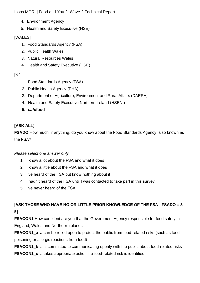- 4. Environment Agency
- 5. Health and Safety Executive (HSE)

## [WALES]

- 1. Food Standards Agency (FSA)
- 2. Public Health Wales
- 3. Natural Resources Wales
- 4. Health and Safety Executive (HSE)

## [NI]

- 1. Food Standards Agency (FSA)
- 2. Public Health Agency (PHA)
- 3. Department of Agriculture, Environment and Rural Affairs (DAERA)
- 4. Health and Safety Executive Northern Ireland (HSENI)
- **5.** *safe***food**

# **[ASK ALL]**

**FSADO** How much, if anything, do you know about the Food Standards Agency, also known as the FSA?

## *Please select one answer only*

- 1. I know a lot about the FSA and what it does
- 2. I know a little about the FSA and what it does
- 3. I've heard of the FSA but know nothing about it
- 4. I hadn't heard of the FSA until I was contacted to take part in this survey
- 5. I've never heard of the FSA

[**ASK THOSE WHO HAVE NO OR LITTLE PRIOR KNOWLEDGE OF THE FSA- FSADO = 3- 5]**

**FSACON1** How confident are you that the Government Agency responsible for food safety in England, Wales and Northern Ireland…

**FSACON1\_a…** can be relied upon to protect the public from food-related risks (such as food poisoning or allergic reactions from food)

**FSACON1\_b**… is committed to communicating openly with the public about food-related risks **FSACON1\_c**… takes appropriate action if a food-related risk is identified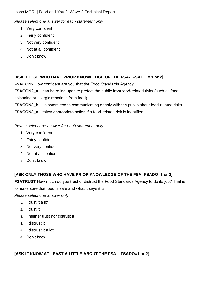*Please select one answer for each statement only*

- 1. Very confident
- 2. Fairly confident
- 3. Not very confident
- 4. Not at all confident
- 5. Don't know

## [**ASK THOSE WHO HAVE PRIOR KNOWLEDGE OF THE FSA- FSADO = 1 or 2]**

**FSACON2** How confident are you that the Food Standards Agency…

**FSACON2\_a**…can be relied upon to protect the public from food-related risks (such as food poisoning or allergic reactions from food)

**FSACON2\_b** …is committed to communicating openly with the public about food-related risks **FSACON2\_c**…takes appropriate action if a food-related risk is identified

*Please select one answer for each statement only*

- 1. Very confident
- 2. Fairly confident
- 3. Not very confident
- 4. Not at all confident
- 5. Don't know

## **[ASK ONLY THOSE WHO HAVE PRIOR KNOWLEDGE OF THE FSA- FSADO=1 or 2]**

**FSATRUST** How much do you trust or distrust the Food Standards Agency to do its job? That is to make sure that food is safe and what it says it is.

*Please select one answer only*

- 1. I trust it a lot
- 2. I trust it
- 3. I neither trust nor distrust it
- 4. I distrust it
- 5. I distrust it a lot
- 6. Don't know

**[ASK IF KNOW AT LEAST A LITTLE ABOUT THE FSA – FSADO=1 or 2]**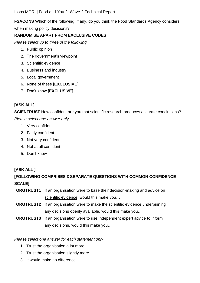**FSACONS** Which of the following, if any, do you think the Food Standards Agency considers when making policy decisions?

#### **RANDOMISE APART FROM EXCLUSIVE CODES**

*Please select up to three of the following*

- 1. Public opinion
- 2. The government's viewpoint
- 3. Scientific evidence
- 4. Business and industry
- 5. Local government
- 6. None of these [**EXCLUSIVE]**
- 7. Don't know [**EXCLUSIVE]**

## **[ASK ALL]**

**SCIENTRUST** How confident are you that scientific research produces accurate conclusions? *Please select one answer only*

- 1. Very confident
- 2. Fairly confident
- 3. Not very confident
- 4. Not at all confident
- 5. Don't know

#### **[ASK ALL ]**

# **[FOLLOWING COMPRISES 3 SEPARATE QUESTIONS WITH COMMON CONFIDENCE SCALE]**

- **ORGTRUST1** If an organisation were to base their decision-making and advice on scientific evidence, would this make you…
- **ORGTRUST2** If an organisation were to make the scientific evidence underpinning any decisions openly available, would this make you…
- **ORGTRUST3** If an organisation were to use independent expert advice to inform any decisions, would this make you…

#### *Please select one answer for each statement only*

- 1. Trust the organisation a lot more
- 2. Trust the organisation slightly more
- 3. It would make no difference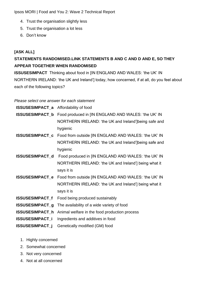- 4. Trust the organisation slightly less
- 5. Trust the organisation a lot less
- 6. Don't know

### **[ASK ALL]**

# **STATEMENTS RANDOMISED.LINK STATEMENTS B AND C AND D AND E, SO THEY APPEAR TOGETHER WHEN RANDOMISED**

**ISSUSESIMPACT** Thinking about food in [IN ENGLAND AND WALES: 'the UK' IN NORTHERN IRELAND: 'the UK and Ireland'] today, how concerned, if at all, do you feel about each of the following topics?

#### *Please select one answer for each statement*

**ISSUSESIMPACT\_a** Affordability of food **ISSUSESIMPACT\_b** Food produced in [IN ENGLAND AND WALES: 'the UK' IN NORTHERN IRELAND: 'the UK and Ireland']being safe and hygienic **ISSUSESIMPACT\_c** Food from outside [IN ENGLAND AND WALES: 'the UK' IN NORTHERN IRELAND: 'the UK and Ireland']being safe and hygienic **ISSUSESIMPACT\_d** Food produced in [IN ENGLAND AND WALES: 'the UK' IN NORTHERN IRELAND: 'the UK and Ireland'] being what it says it is **ISSUSESIMPACT\_e** Food from outside [IN ENGLAND AND WALES: 'the UK' IN NORTHERN IRELAND: 'the UK and Ireland'] being what it says it is **ISSUSESIMPACT\_f** Food being produced sustainably **ISSUSESIMPACT\_g** The availability of a wide variety of food

- **ISSUSESIMPACT\_h** Animal welfare in the food production process
- **ISSUSESIMPACT\_i** Ingredients and additives in food
- **ISSUSESIMPACT\_j** Genetically modified (GM) food
	- 1. Highly concerned
	- 2. Somewhat concerned
	- 3. Not very concerned
	- 4. Not at all concerned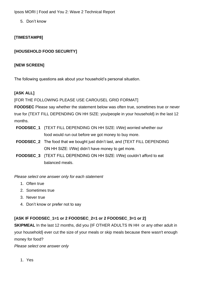5. Don't know

## **[TIMESTAMP8]**

## **[HOUSEHOLD FOOD SECURITY]**

### **[NEW SCREEN]**

The following questions ask about your household's personal situation.

### **[ASK ALL]**

#### [FOR THE FOLLOWING PLEASE USE CAROUSEL GRID FORMAT]

**FOODSEC** Please say whether the statement below was often true, sometimes true or never true for {TEXT FILL DEPENDING ON HH SIZE: you/people in your household} in the last 12 months.

- **FOODSEC 1** {TEXT FILL DEPENDING ON HH SIZE: I/We} worried whether our food would run out before we got money to buy more.
- **FOODSEC 2** The food that we bought just didn't last, and {TEXT FILL DEPENDING ON HH SIZE: I/We} didn't have money to get more.
- **FOODSEC\_3** {TEXT FILL DEPENDING ON HH SIZE: I/We} couldn't afford to eat balanced meals.

*Please select one answer only for each statement*

- 1. Often true
- 2. Sometimes true
- 3. Never true
- 4. Don't know or prefer not to say

## **[ASK IF FOODSEC\_1=1 or 2 FOODSEC\_2=1 or 2 FOODSEC\_3=1 or 2]**

**SKIPMEAL** In the last 12 months, did you {IF OTHER ADULTS IN HH or any other adult in your household} ever cut the size of your meals or skip meals because there wasn't enough money for food?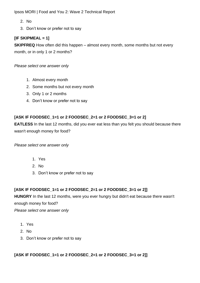- 2. No
- 3. Don't know or prefer not to say

## **[IF SKIPMEAL = 1]**

**SKIPFREQ** How often did this happen – almost every month, some months but not every month, or in only 1 or 2 months?

*Please select one answer only*

- 1. Almost every month
- 2. Some months but not every month
- 3. Only 1 or 2 months
- 4. Don't know or prefer not to say

### **[ASK IF FOODSEC\_1=1 or 2 FOODSEC\_2=1 or 2 FOODSEC\_3=1 or 2]**

**EATLESS** In the last 12 months, did you ever eat less than you felt you should because there wasn't enough money for food?

*Please select one answer only*

- 1. Yes
- 2. No
- 3. Don't know or prefer not to say

## **[ASK IF FOODSEC\_1=1 or 2 FOODSEC\_2=1 or 2 FOODSEC\_3=1 or 2]]**

**HUNGRY** In the last 12 months, were you ever hungry but didn't eat because there wasn't enough money for food?

*Please select one answer only*

- 1. Yes
- 2. No
- 3. Don't know or prefer not to say

## **[ASK IF FOODSEC\_1=1 or 2 FOODSEC\_2=1 or 2 FOODSEC\_3=1 or 2]]**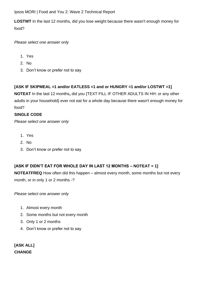**LOSTWT** In the last 12 months, did you lose weight because there wasn't enough money for food?

*Please select one answer only*

- 1. Yes
- 2. No
- 3. Don't know or prefer not to say

## **[ASK IF SKIPMEAL =1 and/or EATLESS =1 and or HUNGRY =1 and/or LOSTWT =1]**

**NOTEAT** In the last 12 months**,** did you {TEXT FILL IF OTHER ADULTS IN HH: or any other adults in your household} ever not eat for a whole day because there wasn't enough money for food?

#### **SINGLE CODE**

*Please select one answer only*

- 1. Yes
- 2. No
- 3. Don't know or prefer not to say

## **[ASK IF DIDN'T EAT FOR WHOLE DAY IN LAST 12 MONTHS – NOTEAT = 1]**

**NOTEATFREQ** How often did this happen – almost every month, some months but not every month, or in only 1 or 2 months -?

*Please select one answer only*

- 1. Almost every month
- 2. Some months but not every month
- 3. Only 1 or 2 months
- 4. Don't know or prefer not to say

**[ASK ALL] CHANGE**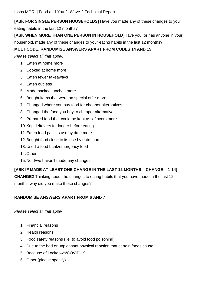**[ASK FOR SINGLE PERSON HOUSEHOLDS]** Have you made any of these changes to your eating habits in the last 12 months?

**[ASK WHEN MORE THAN ONE PERSON IN HOUSEHOLD]**Have you, or has anyone in your household, made any of these changes to your eating habits in the last 12 months?

## **MULTICODE. RANDOMISE ANSWERS APART FROM CODES 14 AND 15**

*Please select all that apply.*

- 1. Eaten at home more
- 2. Cooked at home more
- 3. Eaten fewer takeaways
- 4. Eaten out less
- 5. Made packed lunches more
- 6. Bought items that were on special offer more
- 7. Changed where you buy food for cheaper alternatives
- 8. Changed the food you buy to cheaper alternatives
- 9. Prepared food that could be kept as leftovers more
- 10.Kept leftovers for longer before eating
- 11.Eaten food past its use by date more
- 12.Bought food close to its use by date more
- 13.Used a food bank/emergency food
- 14.Other
- 15.No, I/we haven't made any changes

## **[ASK IF MADE AT LEAST ONE CHANGE IN THE LAST 12 MONTHS – CHANGE = 1-14]**

**CHANGE2** Thinking about the changes to eating habits that you have made in the last 12

months, why did you make these changes?

## **RANDOMISE ANSWERS APART FROM 6 AND 7**

#### *Please select all that apply*

- 1. Financial reasons
- 2. Health reasons
- 3. Food safety reasons (i.e. to avoid food poisoning)
- 4. Due to the bad or unpleasant physical reaction that certain foods cause
- 5. Because of Lockdown/COVID-19
- 6. Other (please specify)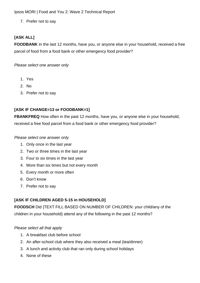7. Prefer not to say

## **[ASK ALL]**

**FOODBANK** In the last 12 months, have you, or anyone else in your household, received a free parcel of food from a food bank or other emergency food provider?

*Please select one answer only*

- 1. Yes
- 2. No
- 3. Prefer not to say

### **[ASK IF CHANGE=13 or FOODBANK=1]**

**FBANKFREQ** How often in the past 12 months, have you, or anyone else in your household, received a free food parcel from a food bank or other emergency food provider?

#### *Please select one answer only*

- 1. Only once in the last year
- 2. Two or three times in the last year
- 3. Four to six times in the last year
- 4. More than six times but not every month
- 5. Every month or more often
- 6. Don't know
- 7. Prefer not to say

#### **[ASK IF CHILDREN AGED 5-15 in HOUSEHOLD]**

**FOODSCH** Did {TEXT FILL BASED ON NUMBER OF CHILDREN: your child/any of the children in your household} attend any of the following in the past 12 months?

#### *Please select all that apply*

- 1. A breakfast club before school
- 2. An after-school club where they also received a meal (tea/dinner)
- 3. A lunch and activity club that ran only during school holidays
- 4. None of these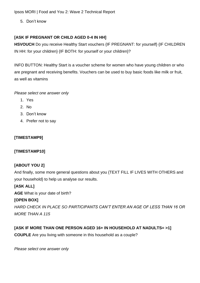5. Don't know

## **[ASK IF PREGNANT OR CHILD AGED 0-4 IN HH]**

**HSVOUCH** Do you receive Healthy Start vouchers {IF PREGNANT: for yourself} {IF CHILDREN IN HH: for your children} {IF BOTH: for yourself or your children}?

INFO BUTTON: Healthy Start is a voucher scheme for women who have young children or who are pregnant and receiving benefits. Vouchers can be used to buy basic foods like milk or fruit, as well as vitamins

#### *Please select one answer only*

- 1. Yes
- 2. No
- 3. Don't know
- 4. Prefer not to say

## **[TIMESTAMP9]**

## **[TIMESTAMP10]**

## **[ABOUT YOU 2]**

And finally, some more general questions about you {TEXT FILL IF LIVES WITH OTHERS and your household} to help us analyse our results.

## **[ASK ALL]**

**AGE** What is your date of birth?

## **[OPEN BOX]**

*HARD CHECK IN PLACE SO PARTICIPANTS CAN'T ENTER AN AGE OF LESS THAN 16 OR MORE THAN A 115*

## **[ASK IF MORE THAN ONE PERSON AGED 16+ IN HOUSEHOLD AT NADULTS= >1]**

**COUPLE** Are you living with someone in this household as a couple?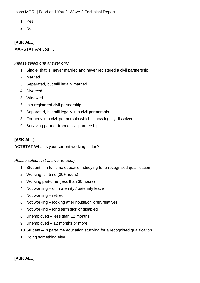- 1. Yes
- 2. No

## **[ASK ALL]**

**MARSTAT** Are you …

#### *Please select one answer only*

- 1. Single, that is, never married and never registered a civil partnership
- 2. Married
- 3. Separated, but still legally married
- 4. Divorced
- 5. Widowed
- 6. In a registered civil partnership
- 7. Separated, but still legally in a civil partnership
- 8. Formerly in a civil partnership which is now legally dissolved
- 9. Surviving partner from a civil partnership

## **[ASK ALL]**

### **ACTSTAT** What is your current working status?

### *Please select first answer to apply*

- 1. Student in full-time education studying for a recognised qualification
- 2. Working full-time (30+ hours)
- 3. Working part-time (less than 30 hours)
- 4. Not working on maternity / paternity leave
- 5. Not working retired
- 6. Not working looking after house/children/relatives
- 7. Not working long term sick or disabled
- 8. Unemployed less than 12 months
- 9. Unemployed 12 months or more
- 10.Student in part-time education studying for a recognised qualification
- 11.Doing something else

### **[ASK ALL]**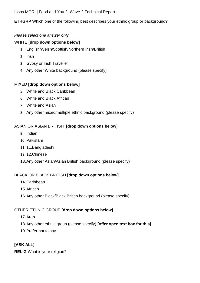### **ETHGRP** Which one of the following best describes your ethnic group or background?

#### *Please select one answer only*

#### WHITE **[drop down options below]**

- 1. English/Welsh/Scottish/Northern Irish/British
- 2. Irish
- 3. Gypsy or Irish Traveller
- 4. Any other White background (please specify)

#### MIXED **[drop down options below]**

- 5. White and Black Caribbean
- 6. White and Black African
- 7. White and Asian
- 8. Any other mixed/multiple ethnic background (please specify)

### ASIAN OR ASIAN BRITISH **[drop down options below]**

- 9. Indian
- 10. Pakistani
- 11. 11.Bangladeshi
- 12. 12.Chinese
- 13.Any other Asian/Asian British background (please specify)

### BLACK OR BLACK BRITISH **[drop down options below]**

- 14.Caribbean
- 15.African
- 16.Any other Black/Black British background (please specify)

### OTHER ETHNIC GROUP **[drop down options below]**

- 17.Arab
- 18.Any other ethnic group (please specify) **[offer open text box for this]**
- 19.Prefer not to say

### **[ASK ALL]**

**RELIG** What is your religion?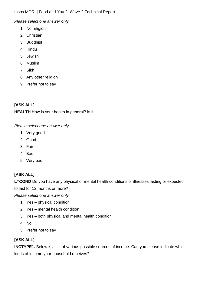*Please select one answer only*

- 1. No religion
- 2. Christian
- 3. Buddhist
- 4. Hindu
- 5. Jewish
- 6. Muslim
- 7. Sikh
- 8. Any other religion
- 9. Prefer not to say

# **[ASK ALL]**

**HEALTH** How is your health in general? Is it...

*Please select one answer only*

- 1. Very good
- 2. Good
- 3. Fair
- 4. Bad
- 5. Very bad

# **[ASK ALL]**

**LTCOND** Do you have any physical or mental health conditions or illnesses lasting or expected

to last for 12 months or more?

*Please select one answer only*

- 1. Yes physical condition
- 2. Yes mental health condition
- 3. Yes both physical and mental health condition
- 4. No
- 5. Prefer not to say

# **[ASK ALL]**

**INCTYPE1.** Below is a list of various possible sources of income. Can you please indicate which kinds of income your household receives?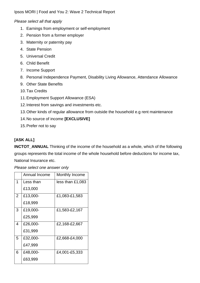*Please select all that apply*

- 1. Earnings from employment or self-employment
- 2. Pension from a former employer
- 3. Maternity or paternity pay
- 4. State Pension
- 5. Universal Credit
- 6. Child Benefit
- 7. Income Support
- 8. Personal Independence Payment, Disability Living Allowance, Attendance Allowance
- 9. Other State Benefits
- 10.Tax Credits
- 11.Employment Support Allowance (ESA)
- 12.Interest from savings and investments etc.
- 13.Other kinds of regular allowance from outside the household e.g rent maintenance
- 14.No source of income **[EXCLUSIVE]**
- 15.Prefer not to say

# **[ASK ALL]**

**INCTOT\_ANNUAL** Thinking of the income of the household as a whole, which of the following groups represents the total income of the whole household before deductions for income tax, National Insurance etc.

|                | Annual Income | Monthly Income   |
|----------------|---------------|------------------|
| 1              | Less than     | less than £1,083 |
|                | £13,000       |                  |
| $\overline{2}$ | £13,000-      | £1,083-£1,583    |
|                | £18,999       |                  |
| 3              | £19,000-      | £1,583-£2,167    |
|                | £25,999       |                  |
| $\overline{4}$ | £26,000-      | £2,168-£2,667    |
|                | £31,999       |                  |
| 5              | £32,000-      | £2,668-£4,000    |
|                | £47,999       |                  |
| 6              | £48,000-      | £4,001-£5,333    |
|                | £63,999       |                  |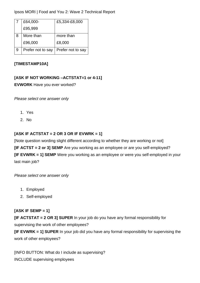|   | £64,000-          | £5,334-£8,000     |
|---|-------------------|-------------------|
|   | £95,999           |                   |
| 8 | More than         | more than         |
|   | £96,000           | £8,000            |
| 9 | Prefer not to say | Prefer not to say |

### **[TIMESTAMP10A]**

## **[ASK IF NOT WORKING –ACTSTAT=1 or 4-11]**

**EVWORK** Have you ever worked?

*Please select one answer only*

- 1. Yes
- 2. No

## **[ASK IF ACTSTAT = 2 OR 3 OR IF EVWRK = 1]**

[Note question wording slight different according to whether they are working or not] **[IF ACTST = 2 or 3] SEMP** Are you working as an employee or are you self-employed? **[IF EVWRK = 1] SEMP** Were you working as an employee or were you self-employed in your last main job?

*Please select one answer only*

- 1. Employed
- 2. Self-employed

## **[ASK IF SEMP = 1]**

**[IF ACTSTAT = 2 OR 3] SUPER** In your job do you have any formal responsibility for supervising the work of other employees?

**[IF EVWRK = 1] SUPER** In your job did you have any formal responsibility for supervising the work of other employees?

[INFO BUTTON: What do I include as supervising? INCLUDE supervising employees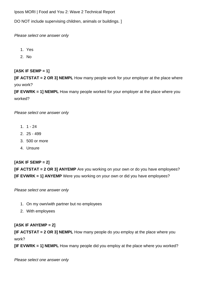DO NOT include supervising children, animals or buildings. ]

*Please select one answer only*

- 1. Yes
- 2. No

# **[ASK IF SEMP = 1]**

**[IF ACTSTAT = 2 OR 3] NEMPL** How many people work for your employer at the place where you work?

**[IF EVWRK = 1] NEMPL** How many people worked for your employer at the place where you worked?

*Please select one answer only*

- 1. 1 24
- 2. 25 499
- 3. 500 or more
- 4. Unsure

## **[ASK IF SEMP = 2]**

**[IF ACTSTAT = 2 OR 3] ANYEMP** Are you working on your own or do you have employees? **[IF EVWRK = 1] ANYEMP** Were you working on your own or did you have employees?

*Please select one answer only*

- 1. On my own/with partner but no employees
- 2. With employees

## **[ASK IF ANYEMP = 2]**

**[IF ACTSTAT = 2 OR 3] NEMPL** How many people do you employ at the place where you work?

**[IF EVWRK = 1] NEMPL** How many people did you employ at the place where you worked?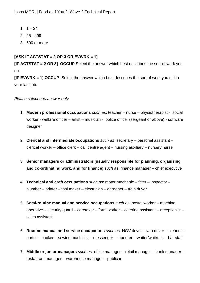- 1.  $1 24$
- 2. 25 499
- 3. 500 or more

### **[ASK IF ACTSTAT = 2 OR 3 OR EVWRK = 1]**

**[IF ACTSTAT = 2 OR 3] OCCUP** Select the answer which best describes the sort of work you do.

**[IF EVWRK = 1] OCCUP** Select the answer which best describes the sort of work you did in your last job.

- 1. **Modern professional occupations** *such as*: teacher nurse physiotherapist social worker - welfare officer – artist – musician - police officer (sergeant or above) - software designer
- 2. **Clerical and intermediate occupations** *such as*: secretary personal assistant clerical worker – office clerk – call centre agent – nursing auxiliary – nursery nurse
- 3. **Senior managers or administrators (usually responsible for planning, organising and co-ordinating work, and for finance)** *such as*: finance manager – chief executive
- 4. **Technical and craft occupations** *such as*: motor mechanic fitter inspector plumber – printer – tool maker – electrician – gardener – train driver
- 5. **Semi-routine manual and service occupations** *such as*: postal worker machine operative – security guard – caretaker – farm worker – catering assistant – receptionist – sales assistant
- 6. **Routine manual and service occupations** *such as*: HGV driver van driver cleaner porter – packer – sewing machinist – messenger – labourer – waiter/waitress – bar staff
- 7. **Middle or junior managers** *such as*: office manager retail manager bank manager restaurant manager – warehouse manager – publican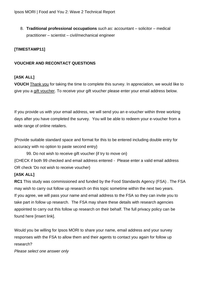8. **Traditional professional occupations** *such as*: accountant – solicitor – medical practitioner – scientist – civil/mechanical engineer

## **[TIMESTAMP11]**

#### **VOUCHER AND RECONTACT QUESTIONS**

## **[ASK ALL]**

**VOUCH** Thank you for taking the time to complete this survey. In appreciation, we would like to give you a gift voucher. To receive your gift voucher please enter your email address below.

If you provide us with your email address, we will send you an e-voucher within three working days after you have completed the survey. You will be able to redeem your e-voucher from a wide range of online retailers.

{Provide suitable standard space and format for this to be entered including double entry for accuracy with no option to paste second entry}

99. Do not wish to receive gift voucher {if try to move on} {CHECK if both 99 checked and email address entered - Please enter a valid email address OR check 'Do not wish to receive voucher}

### **[ASK ALL]**

**RC1** This study was commissioned and funded by the Food Standards Agency (FSA) . The FSA may wish to carry out follow up research on this topic sometime within the next two years. If you agree, we will pass your name and email address to the FSA so they can invite you to take part in follow up research. The FSA may share these details with research agencies appointed to carry out this follow up research on their behalf. The full privacy policy can be found here [insert link].

Would you be willing for Ipsos MORI to share your name, email address and your survey responses with the FSA to allow them and their agents to contact you again for follow up research?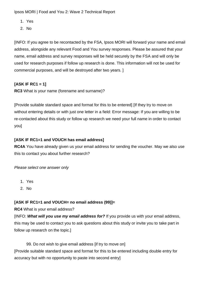- 1. Yes
- 2. No

[INFO: If you agree to be recontacted by the FSA, Ipsos MORI will forward your name and email address, alongside any relevant Food and You survey responses. Please be assured that your name, email address and survey responses will be held securely by the FSA and will only be used for research purposes if follow up research is done. This information will not be used for commercial purposes, and will be destroyed after two years. ]

## **[ASK IF RC1 = 1]**

**RC3** What is your name (forename and surname)?

[Provide suitable standard space and format for this to be entered] [If they try to move on without entering details or with just one letter in a field: Error message: If you are willing to be re-contacted about this study or follow up research we need your full name in order to contact you]

## **[ASK IF RC1=1 and VOUCH has email address]**

**RC4A** You have already given us your email address for sending the voucher. May we also use this to contact you about further research?

*Please select one answer only*

- 1. Yes
- 2. No

## **[ASK IF RC1=1 and VOUCH= no email address (99)]=**

### **RC4** What is your email address?

[INFO: *What will you use my email address for?* If you provide us with your email address, this may be used to contact you to ask questions about this study or invite you to take part in follow up research on the topic.]

99. Do not wish to give email address [if try to move on] [Provide suitable standard space and format for this to be entered including double entry for accuracy but with no opportunity to paste into second entry]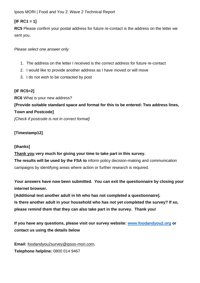## **[IF RC1 = 1]**

**RC5** Please confirm your postal address for future re-contact is the address on the letter we sent you.

*Please select one answer only*

- 1. The address on the letter I received is the correct address for future re-contact
- 2. I would like to provide another address as I have moved or will move
- 3. I do not wish to be contacted by post

# **[IF RC5=2]**

**RC6** What is your new address? **[Provide suitable standard space and format for this to be entered: Two address lines, Town and Postcode]** *[Check if postcode is not in correct format]*

# **[Timestamp12]**

## **[thanks]**

**Thank you very much for giving your time to take part in this survey.** 

**The results will be used by the FSA to** inform policy decision-making and communication campaigns by identifying areas where action or further research is required.

**Your answers have now been submitted. You can exit the questionnaire by closing your internet browser.**

**[Additional text another adult in hh who has not completed a questionnaire]. Is there another adult in your household who has not yet completed the survey? If so, please remind them that they can also take part in the survey. Thank you!**

**If you have any questions, please visit our survey website: [www.foodandyou2.org](http://www.foodandyou2.org/) or contact us using the details below**

**Email:** foodandyou2survey@ipsos-mori.com**. Telephone helpline***:* 0800 014 9467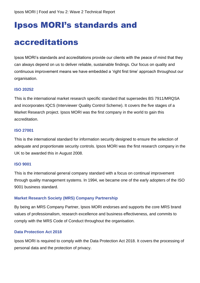# Ipsos MORI's standards and

# accreditations

Ipsos MORI's standards and accreditations provide our clients with the peace of mind that they can always depend on us to deliver reliable, sustainable findings. Our focus on quality and continuous improvement means we have embedded a 'right first time' approach throughout our organisation.

#### **ISO 20252**

This is the international market research specific standard that supersedes BS 7911/MRQSA and incorporates IQCS (Interviewer Quality Control Scheme). It covers the five stages of a Market Research project. Ipsos MORI was the first company in the world to gain this accreditation.

#### **ISO 27001**

This is the international standard for information security designed to ensure the selection of adequate and proportionate security controls. Ipsos MORI was the first research company in the UK to be awarded this in August 2008.

#### **ISO 9001**

This is the international general company standard with a focus on continual improvement through quality management systems. In 1994, we became one of the early adopters of the ISO 9001 business standard.

#### **Market Research Society (MRS) Company Partnership**

By being an MRS Company Partner, Ipsos MORI endorses and supports the core MRS brand values of professionalism, research excellence and business effectiveness, and commits to comply with the MRS Code of Conduct throughout the organisation.

#### **Data Protection Act 2018**

Ipsos MORI is required to comply with the Data Protection Act 2018. It covers the processing of personal data and the protection of privacy.